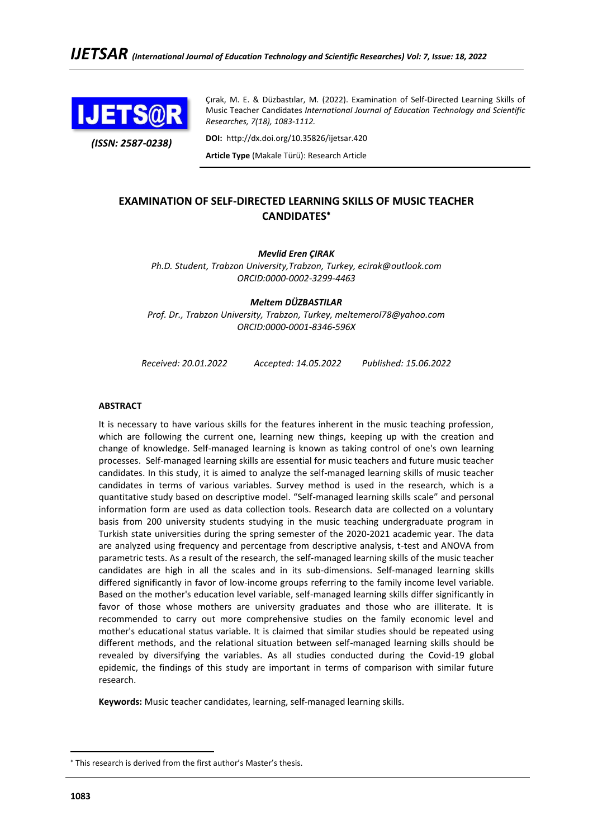

*(ISSN: 2587-0238)*

Çırak, M. E. & Düzbastılar, M. (2022). Examination of Self-Directed Learning Skills of Music Teacher Candidates *International Journal of Education Technology and Scientific Researches, 7(18), 1083-1112.*

**DOI:** http://dx.doi.org/10.35826/ijetsar.420

**Article Type** (Makale Türü): Research Article

# **EXAMINATION OF SELF-DIRECTED LEARNING SKILLS OF MUSIC TEACHER CANDIDATES**

*Mevlid Eren ÇIRAK*

*Ph.D. Student, Trabzon University,Trabzon, Turkey, ecirak@outlook.com ORCID:0000-0002-3299-4463*

*Meltem DÜZBASTILAR Prof. Dr., Trabzon University, Trabzon, Turkey, meltemerol78@yahoo.com ORCID:0000-0001-8346-596X*

*Received: 20.01.2022 Accepted: 14.05.2022 Published: 15.06.2022*

#### **ABSTRACT**

It is necessary to have various skills for the features inherent in the music teaching profession, which are following the current one, learning new things, keeping up with the creation and change of knowledge. Self-managed learning is known as taking control of one's own learning processes. Self-managed learning skills are essential for music teachers and future music teacher candidates. In this study, it is aimed to analyze the self-managed learning skills of music teacher candidates in terms of various variables. Survey method is used in the research, which is a quantitative study based on descriptive model. "Self-managed learning skills scale" and personal information form are used as data collection tools. Research data are collected on a voluntary basis from 200 university students studying in the music teaching undergraduate program in Turkish state universities during the spring semester of the 2020-2021 academic year. The data are analyzed using frequency and percentage from descriptive analysis, t-test and ANOVA from parametric tests. As a result of the research, the self-managed learning skills of the music teacher candidates are high in all the scales and in its sub-dimensions. Self-managed learning skills differed significantly in favor of low-income groups referring to the family income level variable. Based on the mother's education level variable, self-managed learning skills differ significantly in favor of those whose mothers are university graduates and those who are illiterate. It is recommended to carry out more comprehensive studies on the family economic level and mother's educational status variable. It is claimed that similar studies should be repeated using different methods, and the relational situation between self-managed learning skills should be revealed by diversifying the variables. As all studies conducted during the Covid-19 global epidemic, the findings of this study are important in terms of comparison with similar future research.

**Keywords:** Music teacher candidates, learning, self-managed learning skills.

This research is derived from the first author's Master's thesis.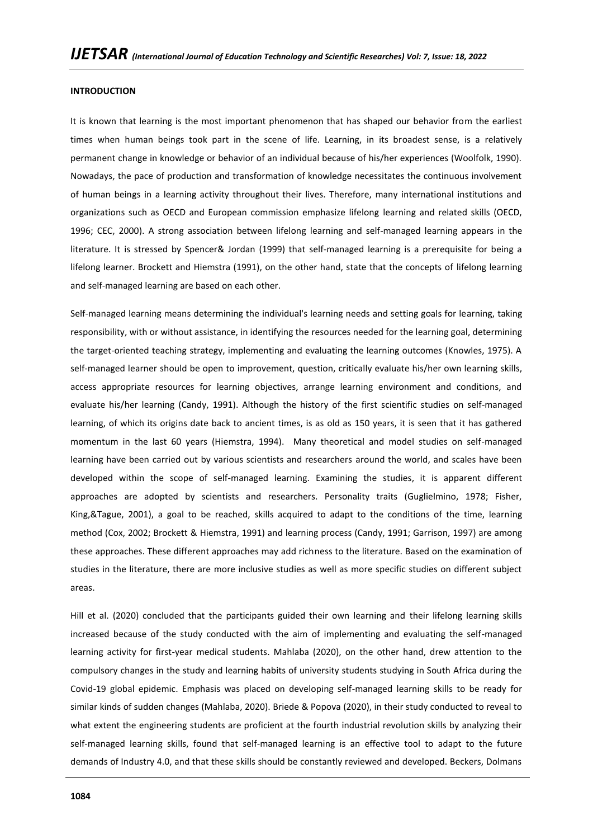#### **INTRODUCTION**

It is known that learning is the most important phenomenon that has shaped our behavior from the earliest times when human beings took part in the scene of life. Learning, in its broadest sense, is a relatively permanent change in knowledge or behavior of an individual because of his/her experiences (Woolfolk, 1990). Nowadays, the pace of production and transformation of knowledge necessitates the continuous involvement of human beings in a learning activity throughout their lives. Therefore, many international institutions and organizations such as OECD and European commission emphasize lifelong learning and related skills (OECD, 1996; CEC, 2000). A strong association between lifelong learning and self-managed learning appears in the literature. It is stressed by Spencer& Jordan (1999) that self-managed learning is a prerequisite for being a lifelong learner. Brockett and Hiemstra (1991), on the other hand, state that the concepts of lifelong learning and self-managed learning are based on each other.

Self-managed learning means determining the individual's learning needs and setting goals for learning, taking responsibility, with or without assistance, in identifying the resources needed for the learning goal, determining the target-oriented teaching strategy, implementing and evaluating the learning outcomes (Knowles, 1975). A self-managed learner should be open to improvement, question, critically evaluate his/her own learning skills, access appropriate resources for learning objectives, arrange learning environment and conditions, and evaluate his/her learning (Candy, 1991). Although the history of the first scientific studies on self-managed learning, of which its origins date back to ancient times, is as old as 150 years, it is seen that it has gathered momentum in the last 60 years (Hiemstra, 1994). Many theoretical and model studies on self-managed learning have been carried out by various scientists and researchers around the world, and scales have been developed within the scope of self-managed learning. Examining the studies, it is apparent different approaches are adopted by scientists and researchers. Personality traits (Guglielmino, 1978; Fisher, King,&Tague, 2001), a goal to be reached, skills acquired to adapt to the conditions of the time, learning method (Cox, 2002; Brockett & Hiemstra, 1991) and learning process (Candy, 1991; Garrison, 1997) are among these approaches. These different approaches may add richness to the literature. Based on the examination of studies in the literature, there are more inclusive studies as well as more specific studies on different subject areas.

Hill et al. (2020) concluded that the participants guided their own learning and their lifelong learning skills increased because of the study conducted with the aim of implementing and evaluating the self-managed learning activity for first-year medical students. Mahlaba (2020), on the other hand, drew attention to the compulsory changes in the study and learning habits of university students studying in South Africa during the Covid-19 global epidemic. Emphasis was placed on developing self-managed learning skills to be ready for similar kinds of sudden changes (Mahlaba, 2020). Briede & Popova (2020), in their study conducted to reveal to what extent the engineering students are proficient at the fourth industrial revolution skills by analyzing their self-managed learning skills, found that self-managed learning is an effective tool to adapt to the future demands of Industry 4.0, and that these skills should be constantly reviewed and developed. Beckers, Dolmans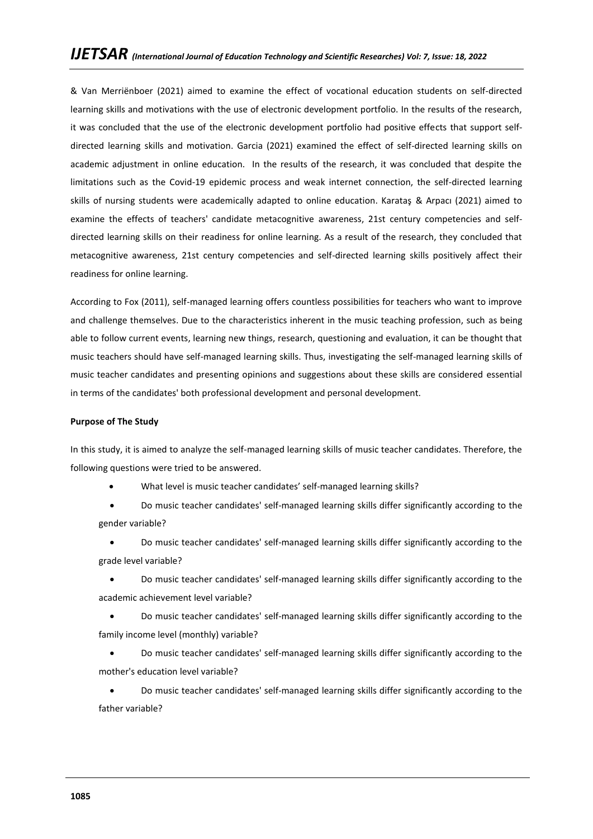& Van Merriënboer (2021) aimed to examine the effect of vocational education students on self-directed learning skills and motivations with the use of electronic development portfolio. In the results of the research, it was concluded that the use of the electronic development portfolio had positive effects that support selfdirected learning skills and motivation. Garcia (2021) examined the effect of self-directed learning skills on academic adjustment in online education. In the results of the research, it was concluded that despite the limitations such as the Covid-19 epidemic process and weak internet connection, the self-directed learning skills of nursing students were academically adapted to online education. Karataş & Arpacı (2021) aimed to examine the effects of teachers' candidate metacognitive awareness, 21st century competencies and selfdirected learning skills on their readiness for online learning. As a result of the research, they concluded that metacognitive awareness, 21st century competencies and self-directed learning skills positively affect their readiness for online learning.

According to Fox (2011), self-managed learning offers countless possibilities for teachers who want to improve and challenge themselves. Due to the characteristics inherent in the music teaching profession, such as being able to follow current events, learning new things, research, questioning and evaluation, it can be thought that music teachers should have self-managed learning skills. Thus, investigating the self-managed learning skills of music teacher candidates and presenting opinions and suggestions about these skills are considered essential in terms of the candidates' both professional development and personal development.

### **Purpose of The Study**

In this study, it is aimed to analyze the self-managed learning skills of music teacher candidates. Therefore, the following questions were tried to be answered.

• What level is music teacher candidates' self-managed learning skills?

• Do music teacher candidates' self-managed learning skills differ significantly according to the gender variable?

• Do music teacher candidates' self-managed learning skills differ significantly according to the grade level variable?

• Do music teacher candidates' self-managed learning skills differ significantly according to the academic achievement level variable?

• Do music teacher candidates' self-managed learning skills differ significantly according to the family income level (monthly) variable?

• Do music teacher candidates' self-managed learning skills differ significantly according to the mother's education level variable?

• Do music teacher candidates' self-managed learning skills differ significantly according to the father variable?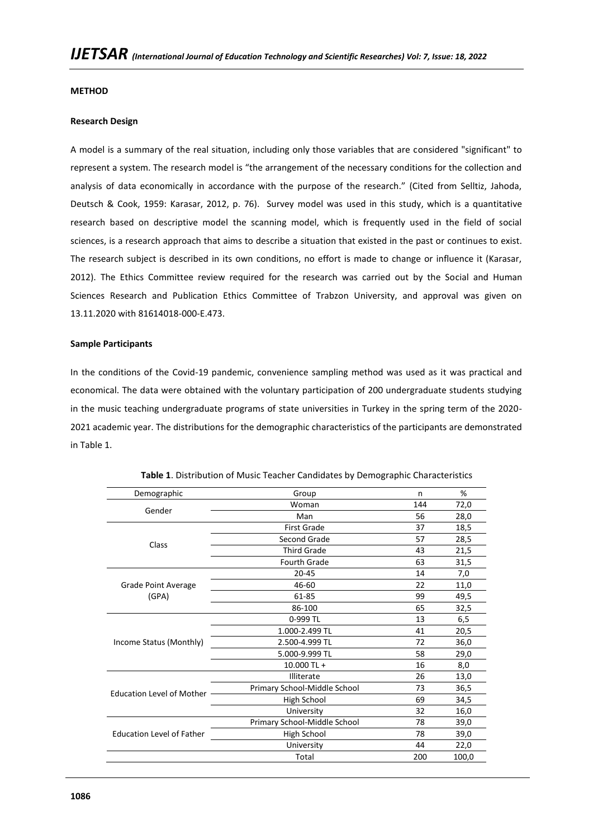### **METHOD**

### **Research Design**

A model is a summary of the real situation, including only those variables that are considered "significant" to represent a system. The research model is "the arrangement of the necessary conditions for the collection and analysis of data economically in accordance with the purpose of the research." (Cited from Selltiz, Jahoda, Deutsch & Cook, 1959: Karasar, 2012, p. 76). Survey model was used in this study, which is a quantitative research based on descriptive model the scanning model, which is frequently used in the field of social sciences, is a research approach that aims to describe a situation that existed in the past or continues to exist. The research subject is described in its own conditions, no effort is made to change or influence it (Karasar, 2012). The Ethics Committee review required for the research was carried out by the Social and Human Sciences Research and Publication Ethics Committee of Trabzon University, and approval was given on 13.11.2020 with 81614018-000-E.473.

### **Sample Participants**

In the conditions of the Covid-19 pandemic, convenience sampling method was used as it was practical and economical. The data were obtained with the voluntary participation of 200 undergraduate students studying in the music teaching undergraduate programs of state universities in Turkey in the spring term of the 2020- 2021 academic year. The distributions for the demographic characteristics of the participants are demonstrated in Table 1.

| Demographic                      | Group                        | n   | %     |
|----------------------------------|------------------------------|-----|-------|
| Gender                           | Woman                        | 144 | 72,0  |
|                                  | Man                          | 56  | 28,0  |
|                                  | <b>First Grade</b>           | 37  | 18,5  |
| Class                            | Second Grade                 | 57  | 28,5  |
|                                  | <b>Third Grade</b>           | 43  | 21,5  |
|                                  | Fourth Grade                 | 63  | 31,5  |
|                                  | $20 - 45$                    | 14  | 7,0   |
| Grade Point Average              | 46-60                        | 22  | 11,0  |
| (GPA)                            | 61-85                        | 99  | 49,5  |
|                                  | 86-100                       | 65  | 32,5  |
|                                  | 0-999 TL                     | 13  | 6,5   |
|                                  | 1.000-2.499 TL               | 41  | 20,5  |
| Income Status (Monthly)          | 2.500-4.999 TL               | 72  | 36,0  |
|                                  | 5.000-9.999 TL               | 58  | 29,0  |
|                                  | 10.000 TL +                  | 16  | 8,0   |
|                                  | Illiterate                   | 26  | 13,0  |
| <b>Education Level of Mother</b> | Primary School-Middle School | 73  | 36,5  |
|                                  | High School                  | 69  | 34,5  |
|                                  | University                   | 32  | 16,0  |
|                                  | Primary School-Middle School | 78  | 39,0  |
| <b>Education Level of Father</b> | High School                  | 78  | 39,0  |
|                                  | University                   | 44  | 22,0  |
|                                  | Total                        | 200 | 100,0 |

**Table 1**. Distribution of Music Teacher Candidates by Demographic Characteristics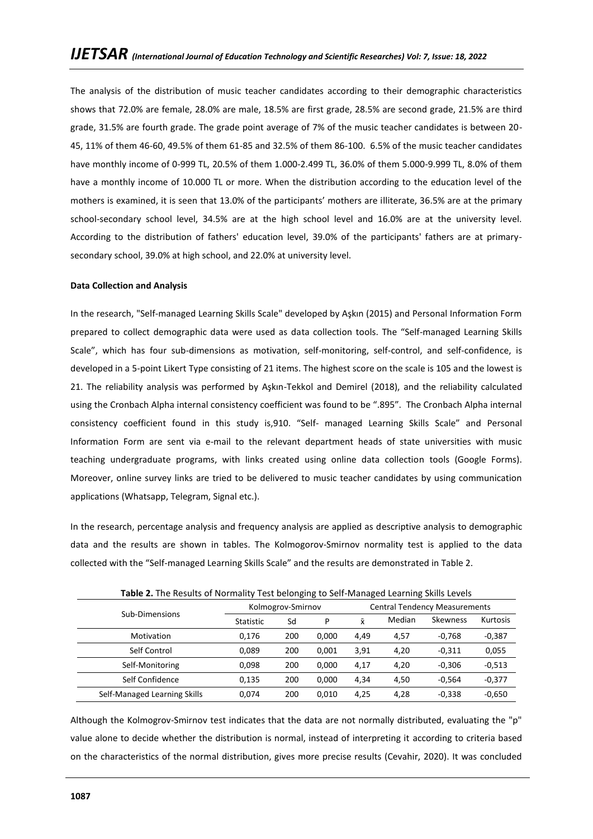The analysis of the distribution of music teacher candidates according to their demographic characteristics shows that 72.0% are female, 28.0% are male, 18.5% are first grade, 28.5% are second grade, 21.5% are third grade, 31.5% are fourth grade. The grade point average of 7% of the music teacher candidates is between 20- 45, 11% of them 46-60, 49.5% of them 61-85 and 32.5% of them 86-100. 6.5% of the music teacher candidates have monthly income of 0-999 TL, 20.5% of them 1.000-2.499 TL, 36.0% of them 5.000-9.999 TL, 8.0% of them have a monthly income of 10.000 TL or more. When the distribution according to the education level of the mothers is examined, it is seen that 13.0% of the participants' mothers are illiterate, 36.5% are at the primary school-secondary school level, 34.5% are at the high school level and 16.0% are at the university level. According to the distribution of fathers' education level, 39.0% of the participants' fathers are at primarysecondary school, 39.0% at high school, and 22.0% at university level.

### **Data Collection and Analysis**

In the research, "Self-managed Learning Skills Scale" developed by Aşkın (2015) and Personal Information Form prepared to collect demographic data were used as data collection tools. The "Self-managed Learning Skills Scale", which has four sub-dimensions as motivation, self-monitoring, self-control, and self-confidence, is developed in a 5-point Likert Type consisting of 21 items. The highest score on the scale is 105 and the lowest is 21. The reliability analysis was performed by Aşkın-Tekkol and Demirel (2018), and the reliability calculated using the Cronbach Alpha internal consistency coefficient was found to be ".895". The Cronbach Alpha internal consistency coefficient found in this study is,910. "Self- managed Learning Skills Scale" and Personal Information Form are sent via e-mail to the relevant department heads of state universities with music teaching undergraduate programs, with links created using online data collection tools (Google Forms). Moreover, online survey links are tried to be delivered to music teacher candidates by using communication applications (Whatsapp, Telegram, Signal etc.).

In the research, percentage analysis and frequency analysis are applied as descriptive analysis to demographic data and the results are shown in tables. The Kolmogorov-Smirnov normality test is applied to the data collected with the "Self-managed Learning Skills Scale" and the results are demonstrated in Table 2.

|                              | <b>Table 2.</b> The Results of Normality Test belonging to Self-Managed Learning Skills Levels |                   |       |                                      |        |          |          |  |  |
|------------------------------|------------------------------------------------------------------------------------------------|-------------------|-------|--------------------------------------|--------|----------|----------|--|--|
| Sub-Dimensions               |                                                                                                | Kolmogrov-Smirnov |       | <b>Central Tendency Measurements</b> |        |          |          |  |  |
|                              | <b>Statistic</b>                                                                               | Sd                | P     | $\bar{x}$                            | Median | Skewness | Kurtosis |  |  |
| Motivation                   | 0.176                                                                                          | 200               | 0.000 | 4,49                                 | 4,57   | $-0.768$ | $-0,387$ |  |  |
| Self Control                 | 0.089                                                                                          | 200               | 0.001 | 3,91                                 | 4,20   | $-0.311$ | 0,055    |  |  |
| Self-Monitoring              | 0.098                                                                                          | 200               | 0.000 | 4,17                                 | 4,20   | $-0.306$ | $-0,513$ |  |  |
| Self Confidence              | 0.135                                                                                          | 200               | 0.000 | 4,34                                 | 4,50   | $-0.564$ | $-0,377$ |  |  |
| Self-Managed Learning Skills | 0.074                                                                                          | 200               | 0.010 | 4.25                                 | 4.28   | $-0.338$ | $-0,650$ |  |  |

**Table 2.** The Results of Normality Test belonging to Self-Managed Learning Skills Levels

Although the Kolmogrov-Smirnov test indicates that the data are not normally distributed, evaluating the "p" value alone to decide whether the distribution is normal, instead of interpreting it according to criteria based on the characteristics of the normal distribution, gives more precise results (Cevahir, 2020). It was concluded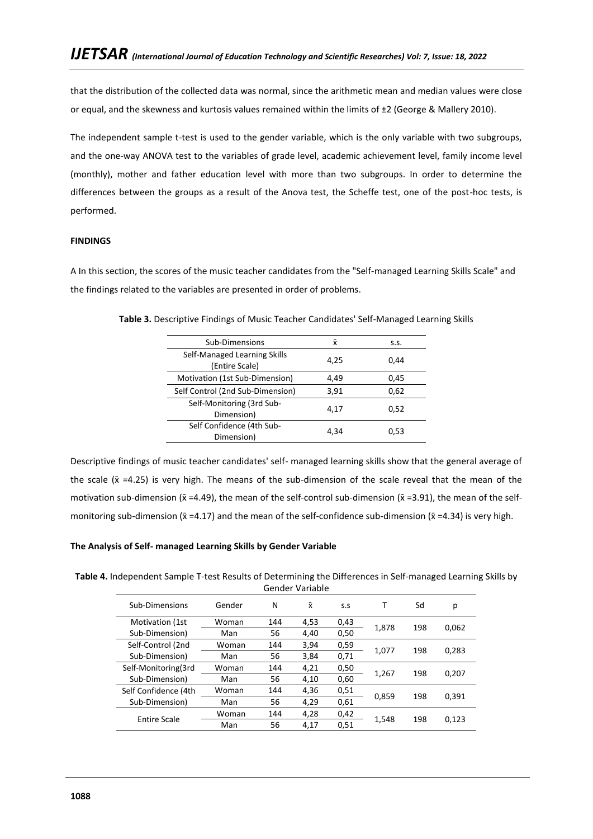that the distribution of the collected data was normal, since the arithmetic mean and median values were close or equal, and the skewness and kurtosis values remained within the limits of ±2 (George & Mallery 2010).

The independent sample t-test is used to the gender variable, which is the only variable with two subgroups, and the one-way ANOVA test to the variables of grade level, academic achievement level, family income level (monthly), mother and father education level with more than two subgroups. In order to determine the differences between the groups as a result of the Anova test, the Scheffe test, one of the post-hoc tests, is performed.

# **FINDINGS**

A In this section, the scores of the music teacher candidates from the "Self-managed Learning Skills Scale" and the findings related to the variables are presented in order of problems.

| Sub-Dimensions                                 | x    | S.S. |
|------------------------------------------------|------|------|
| Self-Managed Learning Skills<br>(Entire Scale) | 4,25 | 0.44 |
| Motivation (1st Sub-Dimension)                 | 4,49 | 0,45 |
| Self Control (2nd Sub-Dimension)               | 3,91 | 0,62 |
| Self-Monitoring (3rd Sub-<br>Dimension)        | 4,17 | 0,52 |
| Self Confidence (4th Sub-<br>Dimension)        | 4.34 | 0,53 |

**Table 3.** Descriptive Findings of Music Teacher Candidates' Self-Managed Learning Skills

Descriptive findings of music teacher candidates' self- managed learning skills show that the general average of the scale ( $\bar{x}$  =4.25) is very high. The means of the sub-dimension of the scale reveal that the mean of the motivation sub-dimension ( $\bar{x}$  =4.49), the mean of the self-control sub-dimension ( $\bar{x}$  =3.91), the mean of the selfmonitoring sub-dimension ( $\bar{x}$  =4.17) and the mean of the self-confidence sub-dimension ( $\bar{x}$  =4.34) is very high.

### **The Analysis of Self- managed Learning Skills by Gender Variable**

**Table 4.** Independent Sample T-test Results of Determining the Differences in Self-managed Learning Skills by Gender Variable

| Sub-Dimensions       | Gender | N   | $\bar{x}$ | S.S  |       | Sd  | р     |
|----------------------|--------|-----|-----------|------|-------|-----|-------|
| Motivation (1st      | Woman  | 144 | 4,53      | 0,43 | 1,878 | 198 | 0,062 |
| Sub-Dimension)       | Man    | 56  | 4,40      | 0,50 |       |     |       |
| Self-Control (2nd    | Woman  | 144 | 3,94      | 0,59 |       | 198 |       |
| Sub-Dimension)       | Man    | 56  | 3,84      | 0,71 | 1,077 |     | 0,283 |
| Self-Monitoring(3rd  | Woman  | 144 | 4,21      | 0,50 |       |     |       |
| Sub-Dimension)       | Man    | 56  | 4,10      | 0,60 | 1,267 | 198 | 0,207 |
| Self Confidence (4th | Woman  | 144 | 4,36      | 0,51 |       |     |       |
| Sub-Dimension)       | Man    | 56  | 4,29      | 0,61 | 0,859 | 198 | 0,391 |
|                      | Woman  | 144 | 4,28      | 0,42 |       |     |       |
| <b>Entire Scale</b>  | Man    | 56  | 4,17      | 0,51 | 1,548 | 198 | 0,123 |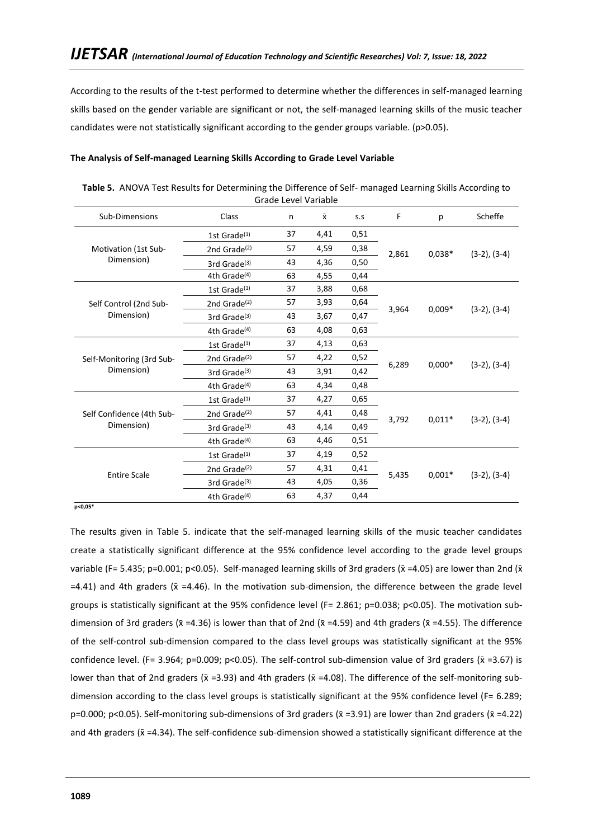According to the results of the t-test performed to determine whether the differences in self-managed learning skills based on the gender variable are significant or not, the self-managed learning skills of the music teacher candidates were not statistically significant according to the gender groups variable. (p>0.05).

### **The Analysis of Self-managed Learning Skills According to Grade Level Variable**

| Table 5. ANOVA Test Results for Determining the Difference of Self- managed Learning Skills According to |
|----------------------------------------------------------------------------------------------------------|
| Grade Level Variable                                                                                     |

| Sub-Dimensions            | Class                    | n  | $\bar{\mathsf{x}}$ | S.S  | F     | р        | Scheffe           |
|---------------------------|--------------------------|----|--------------------|------|-------|----------|-------------------|
|                           | 1st Grade $(1)$          | 37 | 4,41               | 0,51 |       |          |                   |
| Motivation (1st Sub-      | 2nd Grade $(2)$          | 57 | 4,59               | 0,38 | 2,861 | $0,038*$ | $(3-2)$ , $(3-4)$ |
| Dimension)                | 3rd Grade $(3)$          | 43 | 4,36               | 0,50 |       |          |                   |
|                           | 4th Grade <sup>(4)</sup> | 63 | 4,55               | 0,44 |       |          |                   |
|                           | 1st Grade $(1)$          | 37 | 3,88               | 0,68 |       |          |                   |
| Self Control (2nd Sub-    | 2nd Grade $(2)$          | 57 | 3,93               | 0,64 | 3,964 |          |                   |
| Dimension)                | 3rd Grade <sup>(3)</sup> | 43 | 3,67               | 0,47 |       | $0,009*$ | $(3-2)$ , $(3-4)$ |
|                           | 4th Grade <sup>(4)</sup> | 63 | 4,08               | 0,63 |       |          |                   |
|                           | 1st Grade $(1)$          | 37 | 4,13               | 0,63 |       |          |                   |
| Self-Monitoring (3rd Sub- | 2nd Grade $(2)$          | 57 | 4,22               | 0,52 |       |          |                   |
| Dimension)                | 3rd Grade <sup>(3)</sup> | 43 | 3,91               | 0,42 | 6,289 | $0,000*$ | $(3-2)$ , $(3-4)$ |
|                           | 4th Grade <sup>(4)</sup> | 63 | 4,34               | 0,48 |       |          |                   |
|                           | 1st Grade $(1)$          | 37 | 4,27               | 0,65 |       |          |                   |
| Self Confidence (4th Sub- | 2nd Grade $(2)$          | 57 | 4,41               | 0,48 |       |          |                   |
| Dimension)                | 3rd Grade $(3)$          | 43 | 4,14               | 0,49 | 3,792 | $0,011*$ | $(3-2), (3-4)$    |
|                           | 4th Grade <sup>(4)</sup> | 63 | 4,46               | 0,51 |       |          |                   |
|                           | 1st Grade $(1)$          | 37 | 4,19               | 0,52 |       |          |                   |
|                           | 2nd Grade $(2)$          | 57 | 4,31               | 0,41 |       |          |                   |
| <b>Entire Scale</b>       | 3rd Grade <sup>(3)</sup> | 43 | 4,05               | 0,36 | 5,435 | $0,001*$ | $(3-2)$ , $(3-4)$ |
|                           | 4th Grade <sup>(4)</sup> | 63 | 4,37               | 0,44 |       |          |                   |

 **p<0,05\***

The results given in Table 5. indicate that the self-managed learning skills of the music teacher candidates create a statistically significant difference at the 95% confidence level according to the grade level groups variable (F= 5.435; p=0.001; p<0.05). Self-managed learning skills of 3rd graders ( $\bar{x}$  =4.05) are lower than 2nd ( $\bar{x}$  $=4.41$ ) and 4th graders ( $\bar{x} = 4.46$ ). In the motivation sub-dimension, the difference between the grade level groups is statistically significant at the 95% confidence level (F= 2.861; p=0.038; p<0.05). The motivation subdimension of 3rd graders ( $\bar{x}$  =4.36) is lower than that of 2nd ( $\bar{x}$  =4.59) and 4th graders ( $\bar{x}$  =4.55). The difference of the self-control sub-dimension compared to the class level groups was statistically significant at the 95% confidence level. (F= 3.964; p=0.009; p<0.05). The self-control sub-dimension value of 3rd graders ( $\bar{x}$  =3.67) is lower than that of 2nd graders ( $\bar{x}$  =3.93) and 4th graders ( $\bar{x}$  =4.08). The difference of the self-monitoring subdimension according to the class level groups is statistically significant at the 95% confidence level (F= 6.289; p=0.000; p<0.05). Self-monitoring sub-dimensions of 3rd graders ( $\bar{x}$  =3.91) are lower than 2nd graders ( $\bar{x}$  =4.22) and 4th graders ( $\bar{x}$  =4.34). The self-confidence sub-dimension showed a statistically significant difference at the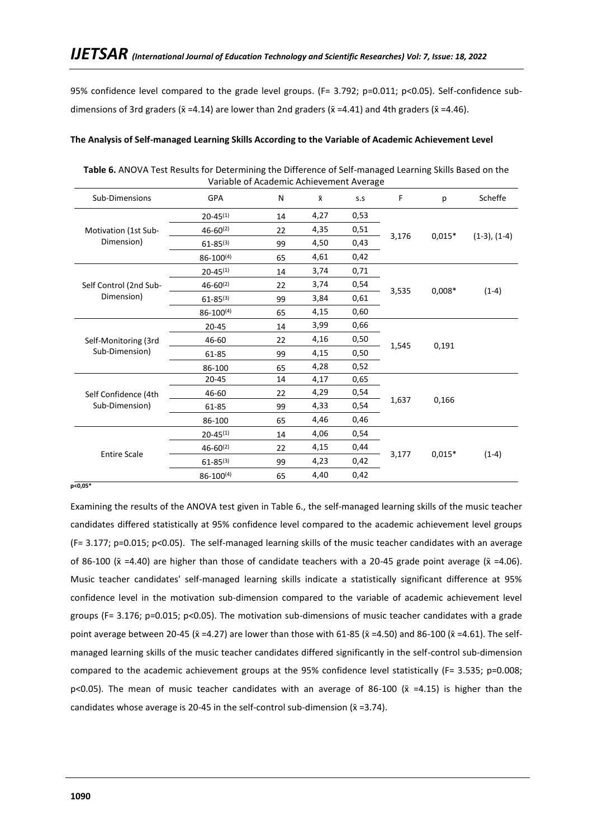95% confidence level compared to the grade level groups. (F= 3.792; p=0.011; p<0.05). Self-confidence subdimensions of 3rd graders ( $\bar{x} = 4.14$ ) are lower than 2nd graders ( $\bar{x} = 4.41$ ) and 4th graders ( $\bar{x} = 4.46$ ).

### **The Analysis of Self-managed Learning Skills According to the Variable of Academic Achievement Level**

| Sub-Dimensions         | GPA              | N  | $\bar{\mathsf{x}}$ | S.S  | F     | p        | Scheffe        |         |
|------------------------|------------------|----|--------------------|------|-------|----------|----------------|---------|
|                        | $20 - 45^{(1)}$  | 14 | 4,27               | 0,53 |       |          |                |         |
| Motivation (1st Sub-   | $46 - 60^{(2)}$  | 22 | 4,35               | 0,51 |       |          |                |         |
| Dimension)             | $61 - 85^{(3)}$  | 99 | 4,50               | 0,43 | 3,176 | $0,015*$ | $(1-3), (1-4)$ |         |
|                        | $86 - 100^{(4)}$ | 65 | 4,61               | 0,42 |       |          |                |         |
|                        | $20 - 45^{(1)}$  | 14 | 3,74               | 0,71 |       |          |                |         |
| Self Control (2nd Sub- | $46 - 60^{(2)}$  | 22 | 3,74               | 0,54 | 3,535 | $0,008*$ |                |         |
| Dimension)             | $61 - 85^{(3)}$  | 99 | 3,84               | 0,61 |       |          |                | $(1-4)$ |
|                        | $86 - 100^{(4)}$ | 65 | 4,15               | 0,60 |       |          |                |         |
|                        | $20 - 45$        | 14 | 3,99               | 0,66 |       |          |                |         |
| Self-Monitoring (3rd   | 46-60            | 22 | 4,16               | 0,50 | 1,545 | 0,191    |                |         |
| Sub-Dimension)         | 61-85            | 99 | 4,15               | 0,50 |       |          |                |         |
|                        | 86-100           | 65 | 4,28               | 0,52 |       |          |                |         |
|                        | $20 - 45$        | 14 | 4,17               | 0,65 |       |          |                |         |
| Self Confidence (4th   | 46-60            | 22 | 4,29               | 0,54 |       |          |                |         |
| Sub-Dimension)         | 61-85            | 99 | 4,33               | 0,54 | 1,637 | 0,166    |                |         |
|                        | 86-100           | 65 | 4,46               | 0,46 |       |          |                |         |
|                        | $20 - 45^{(1)}$  | 14 | 4,06               | 0,54 |       |          |                |         |
| <b>Entire Scale</b>    | $46 - 60^{(2)}$  | 22 | 4,15               | 0,44 |       | $0,015*$ |                |         |
|                        | $61 - 85^{(3)}$  | 99 | 4,23               | 0,42 | 3,177 |          | $(1-4)$        |         |
|                        | $86 - 100^{(4)}$ | 65 | 4,40               | 0,42 |       |          |                |         |

**Table 6.** ANOVA Test Results for Determining the Difference of Self-managed Learning Skills Based on the Variable of Academic Achievement Average

**p<0,05\***

Examining the results of the ANOVA test given in Table 6., the self-managed learning skills of the music teacher candidates differed statistically at 95% confidence level compared to the academic achievement level groups (F= 3.177; p=0.015; p<0.05). The self-managed learning skills of the music teacher candidates with an average of 86-100 ( $\bar{x}$  =4.40) are higher than those of candidate teachers with a 20-45 grade point average ( $\bar{x}$  =4.06). Music teacher candidates' self-managed learning skills indicate a statistically significant difference at 95% confidence level in the motivation sub-dimension compared to the variable of academic achievement level groups (F= 3.176; p=0.015; p<0.05). The motivation sub-dimensions of music teacher candidates with a grade point average between 20-45 ( $\bar{x}$  =4.27) are lower than those with 61-85 ( $\bar{x}$  =4.50) and 86-100 ( $\bar{x}$  =4.61). The selfmanaged learning skills of the music teacher candidates differed significantly in the self-control sub-dimension compared to the academic achievement groups at the 95% confidence level statistically (F= 3.535; p=0.008; p<0.05). The mean of music teacher candidates with an average of 86-100 ( $\bar{x}$  =4.15) is higher than the candidates whose average is 20-45 in the self-control sub-dimension ( $\bar{x}$  =3.74).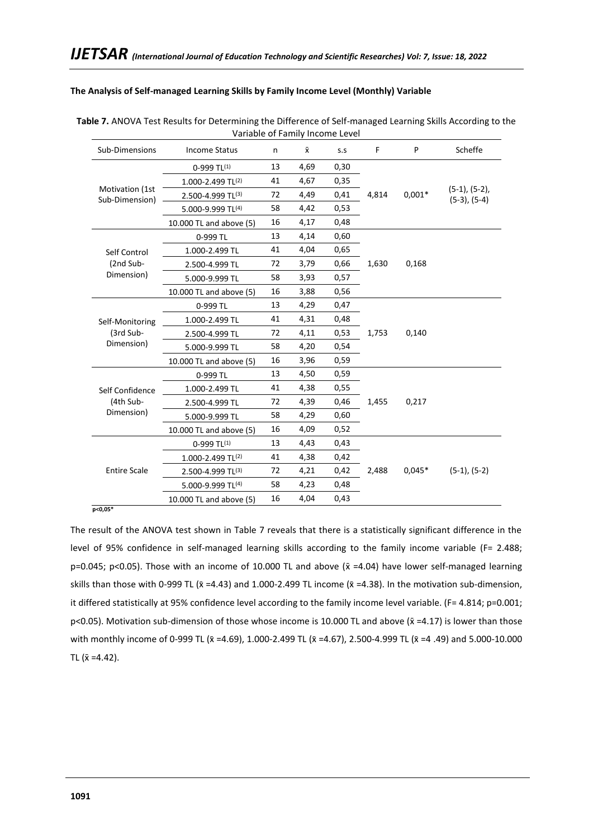# **The Analysis of Self-managed Learning Skills by Family Income Level (Monthly) Variable**

| Sub-Dimensions                    | <b>Income Status</b>    | n  | $\bar{\mathsf{x}}$ | S.S  | F     | P        | Scheffe                                  |
|-----------------------------------|-------------------------|----|--------------------|------|-------|----------|------------------------------------------|
|                                   | $0-999$ TL(1)           | 13 | 4,69               | 0,30 |       |          |                                          |
|                                   | 1.000-2.499 TL(2)       | 41 | 4,67               | 0,35 |       |          |                                          |
| Motivation (1st<br>Sub-Dimension) | 2.500-4.999 TL(3)       | 72 | 4,49               | 0,41 | 4,814 | $0,001*$ | $(5-1)$ , $(5-2)$ ,<br>$(5-3)$ , $(5-4)$ |
|                                   | 5.000-9.999 TL(4)       | 58 | 4,42               | 0,53 |       |          |                                          |
|                                   | 10.000 TL and above (5) | 16 | 4,17               | 0,48 |       |          |                                          |
|                                   | 0-999 TL                | 13 | 4,14               | 0,60 |       |          |                                          |
| Self Control                      | 1.000-2.499 TL          | 41 | 4,04               | 0,65 |       |          |                                          |
| (2nd Sub-                         | 2.500-4.999 TL          | 72 | 3,79               | 0,66 | 1,630 | 0,168    |                                          |
| Dimension)                        | 5.000-9.999 TL          | 58 | 3,93               | 0,57 |       |          |                                          |
|                                   | 10.000 TL and above (5) | 16 | 3,88               | 0,56 |       |          |                                          |
|                                   | 0-999 TL                | 13 | 4,29               | 0,47 |       |          |                                          |
| Self-Monitoring                   | 1.000-2.499 TL          | 41 | 4,31               | 0,48 |       |          |                                          |
| (3rd Sub-                         | 2.500-4.999 TL          | 72 | 4,11               | 0,53 | 1,753 | 0,140    |                                          |
| Dimension)                        | 5.000-9.999 TL          | 58 | 4,20               | 0,54 |       |          |                                          |
|                                   | 10.000 TL and above (5) | 16 | 3,96               | 0,59 |       |          |                                          |
|                                   | 0-999 TL                | 13 | 4,50               | 0,59 |       |          |                                          |
| Self Confidence                   | 1.000-2.499 TL          | 41 | 4,38               | 0,55 |       |          |                                          |
| (4th Sub-                         | 2.500-4.999 TL          | 72 | 4,39               | 0,46 | 1,455 | 0,217    |                                          |
| Dimension)                        | 5.000-9.999 TL          | 58 | 4,29               | 0,60 |       |          |                                          |
|                                   | 10.000 TL and above (5) | 16 | 4,09               | 0,52 |       |          |                                          |
|                                   | $0-999$ TL(1)           | 13 | 4,43               | 0,43 |       |          |                                          |
|                                   | 1.000-2.499 TL(2)       | 41 | 4,38               | 0,42 |       |          |                                          |
| <b>Entire Scale</b>               | 2.500-4.999 TL(3)       | 72 | 4,21               | 0,42 | 2,488 | $0.045*$ | $(5-1), (5-2)$                           |
|                                   | 5.000-9.999 TL(4)       | 58 | 4,23               | 0,48 |       |          |                                          |
|                                   | 10.000 TL and above (5) | 16 | 4,04               | 0,43 |       |          |                                          |

| <b>Table 7.</b> ANOVA Test Results for Determining the Difference of Self-managed Learning Skills According to the |
|--------------------------------------------------------------------------------------------------------------------|
| Variable of Family Income Level                                                                                    |

 **p<0,05\***

The result of the ANOVA test shown in Table 7 reveals that there is a statistically significant difference in the level of 95% confidence in self-managed learning skills according to the family income variable (F= 2.488; p=0.045; p<0.05). Those with an income of 10.000 TL and above ( $\bar{x}$  =4.04) have lower self-managed learning skills than those with 0-999 TL ( $\bar{x}$  =4.43) and 1.000-2.499 TL income ( $\bar{x}$  =4.38). In the motivation sub-dimension, it differed statistically at 95% confidence level according to the family income level variable. (F= 4.814; p=0.001; p<0.05). Motivation sub-dimension of those whose income is 10.000 TL and above ( $\bar{x}$  =4.17) is lower than those with monthly income of 0-999 TL ( $\bar{x}$  =4.69), 1.000-2.499 TL ( $\bar{x}$  =4.67), 2.500-4.999 TL ( $\bar{x}$  =4 .49) and 5.000-10.000 TL  $(\bar{x} = 4.42)$ .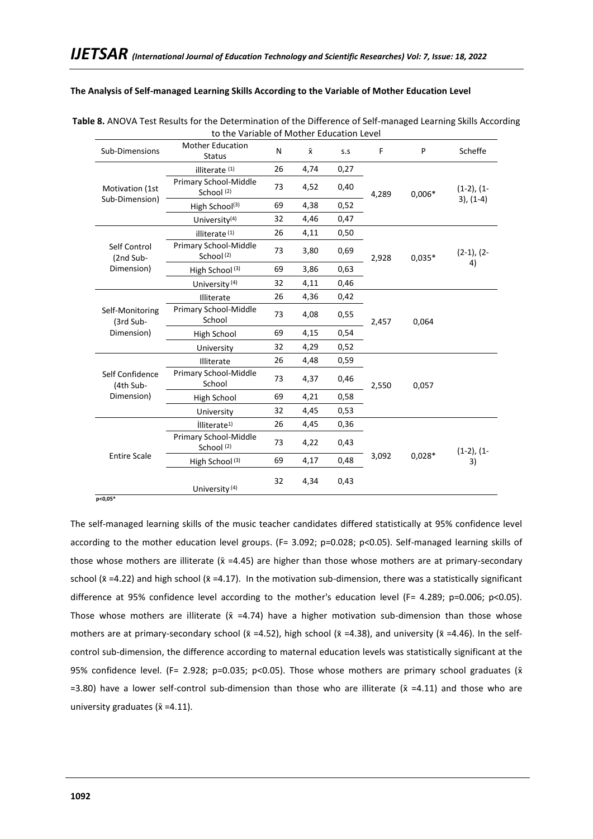### **The Analysis of Self-managed Learning Skills According to the Variable of Mother Education Level**

| Sub-Dimensions               | <b>Mother Education</b><br><b>Status</b>       | N  | $\bar{\mathsf{x}}$ | S.S  | F     | P        | Scheffe            |
|------------------------------|------------------------------------------------|----|--------------------|------|-------|----------|--------------------|
|                              | illiterate <sup>(1)</sup>                      | 26 | 4,74               | 0,27 |       |          |                    |
| Motivation (1st              | Primary School-Middle<br>School (2)            | 73 | 4,52               | 0,40 | 4,289 | $0,006*$ | $(1-2)$ , $(1-$    |
| Sub-Dimension)               | High School <sup>(3)</sup>                     | 69 | 4,38               | 0,52 |       |          | $3), (1-4)$        |
|                              | University <sup>(4)</sup>                      | 32 | 4,46               | 0,47 |       |          |                    |
|                              | illiterate <sup>(1)</sup>                      | 26 | 4,11               | 0,50 |       |          |                    |
| Self Control<br>(2nd Sub-    | Primary School-Middle<br>School <sup>(2)</sup> | 73 | 3,80               | 0,69 | 2,928 | $0,035*$ | $(2-1), (2-$<br>4) |
| Dimension)                   | High School <sup>(3)</sup>                     | 69 | 3,86               | 0,63 |       |          |                    |
|                              | University <sup>(4)</sup>                      | 32 | 4,11               | 0,46 |       |          |                    |
|                              | Illiterate                                     | 26 | 4,36               | 0,42 | 2,457 | 0,064    |                    |
| Self-Monitoring<br>(3rd Sub- | Primary School-Middle<br>School                | 73 | 4,08               | 0,55 |       |          |                    |
| Dimension)                   | High School                                    | 69 | 4,15               | 0,54 |       |          |                    |
|                              | University                                     | 32 | 4,29               | 0,52 |       |          |                    |
|                              | Illiterate                                     | 26 | 4,48               | 0,59 |       |          |                    |
| Self Confidence<br>(4th Sub- | Primary School-Middle<br>School                | 73 | 4,37               | 0,46 | 2,550 | 0,057    |                    |
| Dimension)                   | High School                                    | 69 | 4,21               | 0,58 |       |          |                    |
|                              | University                                     | 32 | 4,45               | 0,53 |       |          |                    |
|                              | illiterate <sup>1)</sup>                       | 26 | 4,45               | 0,36 |       |          |                    |
| <b>Entire Scale</b>          | Primary School-Middle<br>School <sup>(2)</sup> | 73 | 4,22               | 0,43 |       |          | $(1-2), (1-$       |
|                              | High School <sup>(3)</sup>                     | 69 | 4,17               | 0,48 | 3,092 | $0,028*$ | 3)                 |
|                              | University <sup>(4)</sup>                      | 32 | 4,34               | 0,43 |       |          |                    |

| Table 8. ANOVA Test Results for the Determination of the Difference of Self-managed Learning Skills According |
|---------------------------------------------------------------------------------------------------------------|
| to the Variable of Mother Education Level                                                                     |

The self-managed learning skills of the music teacher candidates differed statistically at 95% confidence level according to the mother education level groups. (F= 3.092; p=0.028; p<0.05). Self-managed learning skills of those whose mothers are illiterate ( $\bar{x}$  =4.45) are higher than those whose mothers are at primary-secondary school ( $\bar{x}$  =4.22) and high school ( $\bar{x}$  =4.17). In the motivation sub-dimension, there was a statistically significant difference at 95% confidence level according to the mother's education level (F= 4.289; p=0.006; p<0.05). Those whose mothers are illiterate ( $\bar{x}$  =4.74) have a higher motivation sub-dimension than those whose mothers are at primary-secondary school ( $\bar{x}$  =4.52), high school ( $\bar{x}$  =4.38), and university ( $\bar{x}$  =4.46). In the selfcontrol sub-dimension, the difference according to maternal education levels was statistically significant at the 95% confidence level. (F= 2.928; p=0.035; p<0.05). Those whose mothers are primary school graduates ( $\bar{x}$ =3.80) have a lower self-control sub-dimension than those who are illiterate ( $\bar{x}$  =4.11) and those who are university graduates ( $\bar{x}$  =4.11).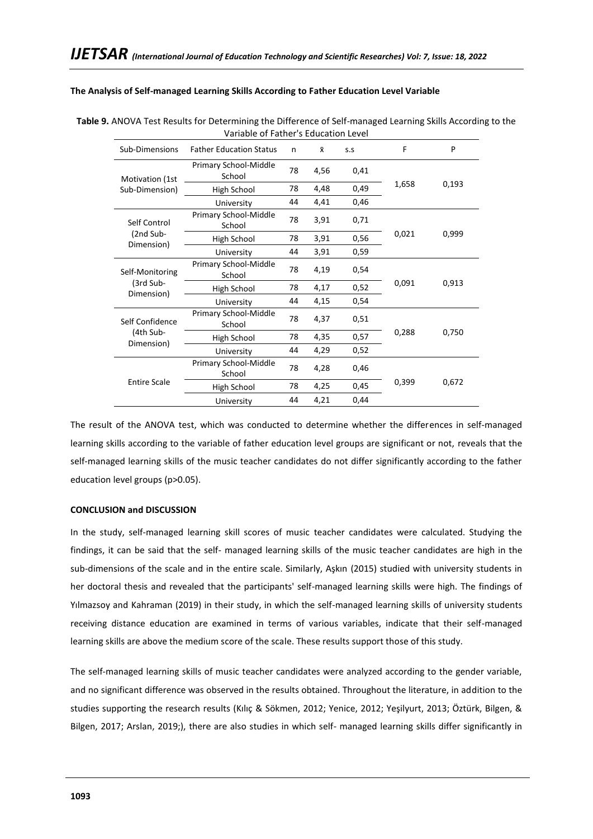### **The Analysis of Self-managed Learning Skills According to Father Education Level Variable**

| Sub-Dimensions          | <b>Father Education Status</b>  | n  | $\bar{x}$ | S.S  | F     | P     |
|-------------------------|---------------------------------|----|-----------|------|-------|-------|
| Motivation (1st         | Primary School-Middle<br>School | 78 | 4,56      | 0,41 |       |       |
| Sub-Dimension)          | High School                     | 78 | 4,48      | 0,49 | 1,658 | 0,193 |
|                         | University                      | 44 | 4,41      | 0,46 |       |       |
| Self Control            | Primary School-Middle<br>School | 78 | 3,91      | 0,71 |       |       |
| (2nd Sub-               | High School                     | 78 | 3,91      | 0,56 | 0,021 | 0,999 |
| Dimension)              | University                      | 44 | 3,91      | 0,59 |       |       |
| Self-Monitoring         | Primary School-Middle<br>School | 78 | 4,19      | 0,54 |       |       |
| (3rd Sub-<br>Dimension) | High School                     | 78 | 4,17      | 0,52 | 0,091 | 0,913 |
|                         | University                      | 44 | 4,15      | 0,54 |       |       |
| Self Confidence         | Primary School-Middle<br>School | 78 | 4,37      | 0,51 |       |       |
| (4th Sub-               | High School                     | 78 | 4,35      | 0,57 | 0,288 | 0,750 |
| Dimension)              | University                      | 44 | 4,29      | 0,52 |       |       |
|                         | Primary School-Middle<br>School | 78 | 4,28      | 0,46 |       |       |
| <b>Entire Scale</b>     | High School                     | 78 | 4,25      | 0,45 | 0,399 | 0,672 |
|                         | University                      | 44 | 4,21      | 0,44 |       |       |

### **Table 9.** ANOVA Test Results for Determining the Difference of Self-managed Learning Skills According to the Variable of Father's Education Level

The result of the ANOVA test, which was conducted to determine whether the differences in self-managed learning skills according to the variable of father education level groups are significant or not, reveals that the self-managed learning skills of the music teacher candidates do not differ significantly according to the father education level groups (p>0.05).

### **CONCLUSION and DISCUSSION**

In the study, self-managed learning skill scores of music teacher candidates were calculated. Studying the findings, it can be said that the self- managed learning skills of the music teacher candidates are high in the sub-dimensions of the scale and in the entire scale. Similarly, Aşkın (2015) studied with university students in her doctoral thesis and revealed that the participants' self-managed learning skills were high. The findings of Yılmazsoy and Kahraman (2019) in their study, in which the self-managed learning skills of university students receiving distance education are examined in terms of various variables, indicate that their self-managed learning skills are above the medium score of the scale. These results support those of this study.

The self-managed learning skills of music teacher candidates were analyzed according to the gender variable, and no significant difference was observed in the results obtained. Throughout the literature, in addition to the studies supporting the research results (Kılıç & Sökmen, 2012; Yenice, 2012; Yeşilyurt, 2013; Öztürk, Bilgen, & Bilgen, 2017; Arslan, 2019;), there are also studies in which self- managed learning skills differ significantly in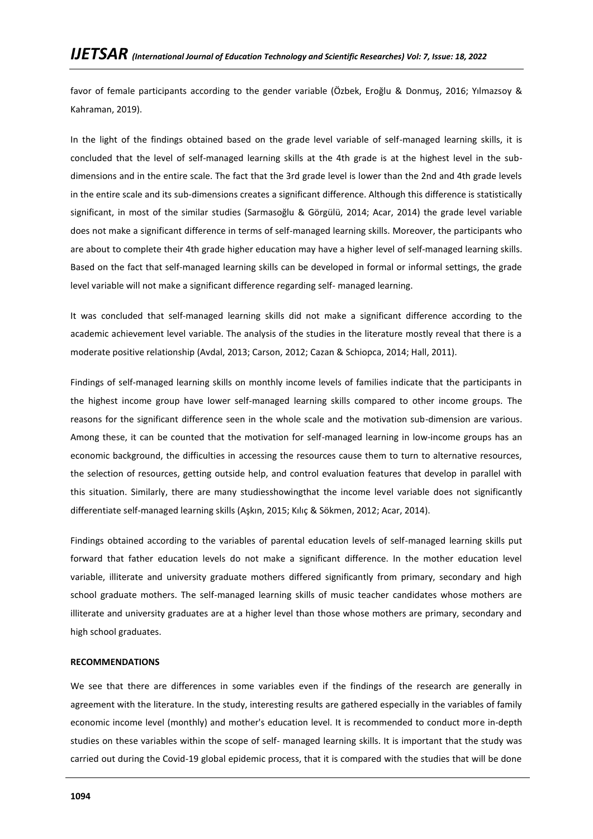favor of female participants according to the gender variable (Özbek, Eroğlu & Donmuş, 2016; Yılmazsoy & Kahraman, 2019).

In the light of the findings obtained based on the grade level variable of self-managed learning skills, it is concluded that the level of self-managed learning skills at the 4th grade is at the highest level in the subdimensions and in the entire scale. The fact that the 3rd grade level is lower than the 2nd and 4th grade levels in the entire scale and its sub-dimensions creates a significant difference. Although this difference is statistically significant, in most of the similar studies (Sarmasoğlu & Görgülü, 2014; Acar, 2014) the grade level variable does not make a significant difference in terms of self-managed learning skills. Moreover, the participants who are about to complete their 4th grade higher education may have a higher level of self-managed learning skills. Based on the fact that self-managed learning skills can be developed in formal or informal settings, the grade level variable will not make a significant difference regarding self- managed learning.

It was concluded that self-managed learning skills did not make a significant difference according to the academic achievement level variable. The analysis of the studies in the literature mostly reveal that there is a moderate positive relationship (Avdal, 2013; Carson, 2012; Cazan & Schiopca, 2014; Hall, 2011).

Findings of self-managed learning skills on monthly income levels of families indicate that the participants in the highest income group have lower self-managed learning skills compared to other income groups. The reasons for the significant difference seen in the whole scale and the motivation sub-dimension are various. Among these, it can be counted that the motivation for self-managed learning in low-income groups has an economic background, the difficulties in accessing the resources cause them to turn to alternative resources, the selection of resources, getting outside help, and control evaluation features that develop in parallel with this situation. Similarly, there are many studiesshowingthat the income level variable does not significantly differentiate self-managed learning skills (Aşkın, 2015; Kılıç & Sökmen, 2012; Acar, 2014).

Findings obtained according to the variables of parental education levels of self-managed learning skills put forward that father education levels do not make a significant difference. In the mother education level variable, illiterate and university graduate mothers differed significantly from primary, secondary and high school graduate mothers. The self-managed learning skills of music teacher candidates whose mothers are illiterate and university graduates are at a higher level than those whose mothers are primary, secondary and high school graduates.

### **RECOMMENDATIONS**

We see that there are differences in some variables even if the findings of the research are generally in agreement with the literature. In the study, interesting results are gathered especially in the variables of family economic income level (monthly) and mother's education level. It is recommended to conduct more in-depth studies on these variables within the scope of self- managed learning skills. It is important that the study was carried out during the Covid-19 global epidemic process, that it is compared with the studies that will be done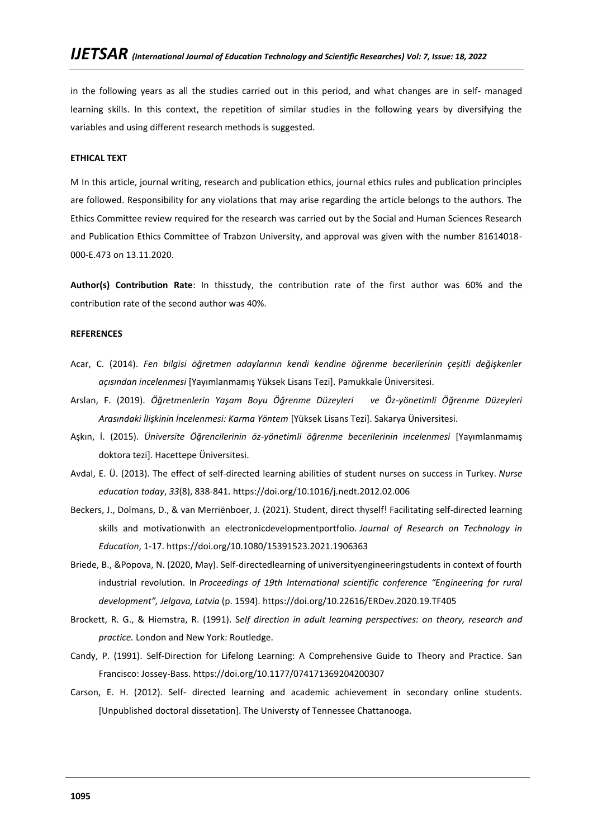in the following years as all the studies carried out in this period, and what changes are in self- managed learning skills. In this context, the repetition of similar studies in the following years by diversifying the variables and using different research methods is suggested.

### **ETHICAL TEXT**

M In this article, journal writing, research and publication ethics, journal ethics rules and publication principles are followed. Responsibility for any violations that may arise regarding the article belongs to the authors. The Ethics Committee review required for the research was carried out by the Social and Human Sciences Research and Publication Ethics Committee of Trabzon University, and approval was given with the number 81614018- 000-E.473 on 13.11.2020.

**Author(s) Contribution Rate**: In thisstudy, the contribution rate of the first author was 60% and the contribution rate of the second author was 40%.

### **REFERENCES**

- Acar, C. (2014). *Fen bilgisi öğretmen adaylarının kendi kendine öğrenme becerilerinin çeşitli değişkenler açısından incelenmesi* [Yayımlanmamış Yüksek Lisans Tezi]. Pamukkale Üniversitesi.
- Arslan, F. (2019). *Öğretmenlerin Yaşam Boyu Öğrenme Düzeyleri ve Öz-yönetimli Öğrenme Düzeyleri Arasındaki İlişkinin İncelenmesi: Karma Yöntem* [Yüksek Lisans Tezi]. Sakarya Üniversitesi.
- Aşkın, İ. (2015). *Üniversite Öğrencilerinin öz-yönetimli öğrenme becerilerinin incelenmesi* [Yayımlanmamış doktora tezi]. Hacettepe Üniversitesi.
- Avdal, E. Ü. (2013). The effect of self-directed learning abilities of student nurses on success in Turkey. *Nurse education today*, *33*(8), 838-841.<https://doi.org/10.1016/j.nedt.2012.02.006>
- Beckers, J., Dolmans, D., & van Merriënboer, J. (2021). Student, direct thyself! Facilitating self-directed learning skills and motivationwith an electronicdevelopmentportfolio. *Journal of Research on Technology in Education*, 1-17[. https://doi.org/10.1080/15391523.2021.1906363](https://doi.org/10.1080/15391523.2021.1906363)
- Briede, B., &Popova, N. (2020, May). Self-directedlearning of universityengineeringstudents in context of fourth industrial revolution. In *Proceedings of 19th International scientific conference "Engineering for rural development", Jelgava, Latvia* (p. 1594).<https://doi.org/10.22616/ERDev.2020.19.TF405>
- Brockett, R. G., & Hiemstra, R. (1991). S*elf direction in adult learning perspectives: on theory, research and practice.* London and New York: Routledge.
- Candy, P. (1991). Self-Direction for Lifelong Learning: A Comprehensive Guide to Theory and Practice. San Francisco: Jossey-Bass. [https://doi.org/10.1177/074171369204200307](https://doi.org/10.1177%2F074171369204200307)
- Carson, E. H. (2012). Self- directed learning and academic achievement in secondary online students. [Unpublished doctoral dissetation]. The Universty of Tennessee Chattanooga.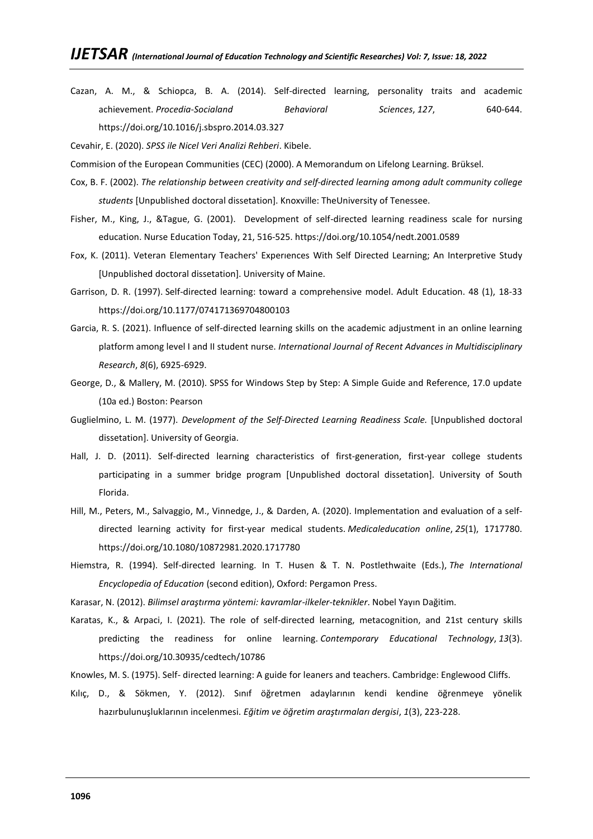Cazan, A. M., & Schiopca, B. A. (2014). Self-directed learning, personality traits and academic achievement. *Procedia-Socialand Behavioral Sciences*, *127*, 640-644. <https://doi.org/10.1016/j.sbspro.2014.03.327>

Cevahir, E. (2020). *SPSS ile Nicel Veri Analizi Rehberi*. Kibele.

Commision of the European Communities (CEC) (2000). A Memorandum on Lifelong Learning. Brüksel.

- Cox, B. F. (2002). *The relationship between creativity and self-directed learning among adult community college students* [Unpublished doctoral dissetation]. Knoxville: TheUniversity of Tenessee.
- Fisher, M., King, J., &Tague, G. (2001). Development of self-directed learning readiness scale for nursing education. Nurse Education Today, 21, 516-525[. https://doi.org/10.1054/nedt.2001.0589](https://doi.org/10.1054/nedt.2001.0589)
- Fox, K. (2011). Veteran Elementary Teachers' Experıences With Self Directed Learning; An Interpretive Study [Unpublished doctoral dissetation]. University of Maine.
- Garrison, D. R. (1997). Self-directed learning: toward a comprehensive model. Adult Education. 48 (1), 18-33 [https://doi.org/10.1177/074171369704800103](https://doi.org/10.1177%2F074171369704800103)
- Garcia, R. S. (2021). Influence of self-directed learning skills on the academic adjustment in an online learning platform among level I and II student nurse. *International Journal of Recent Advances in Multidisciplinary Research*, *8*(6), 6925-6929.
- George, D., & Mallery, M. (2010). SPSS for Windows Step by Step: A Simple Guide and Reference, 17.0 update (10a ed.) Boston: Pearson
- Guglielmino, L. M. (1977). *Development of the Self-Directed Learning Readiness Scale.* [Unpublished doctoral dissetation]. University of Georgia.
- Hall, J. D. (2011). Self-directed learning characteristics of first-generation, first-year college students participating in a summer bridge program [Unpublished doctoral dissetation]. University of South Florida.
- Hill, M., Peters, M., Salvaggio, M., Vinnedge, J., & Darden, A. (2020). Implementation and evaluation of a selfdirected learning activity for first-year medical students. *Medicaleducation online*, *25*(1), 1717780. <https://doi.org/10.1080/10872981.2020.1717780>
- Hiemstra, R. (1994). Self-directed learning. In T. Husen & T. N. Postlethwaite (Eds.), *The International Encyclopedia of Education* (second edition), Oxford: Pergamon Press.
- Karasar, N. (2012). *Bilimsel araştırma yöntemi: kavramlar-ilkeler-teknikler*. Nobel Yayın Dağitim.
- Karatas, K., & Arpaci, I. (2021). The role of self-directed learning, metacognition, and 21st century skills predicting the readiness for online learning. *Contemporary Educational Technology*, *13*(3). <https://doi.org/10.30935/cedtech/10786>
- Knowles, M. S. (1975). Self- directed learning: A guide for leaners and teachers. Cambridge: Englewood Cliffs.
- Kılıç, D., & Sökmen, Y. (2012). Sınıf öğretmen adaylarının kendi kendine öğrenmeye yönelik hazırbulunuşluklarının incelenmesi. *Eğitim ve öğretim araştırmaları dergisi*, *1*(3), 223-228.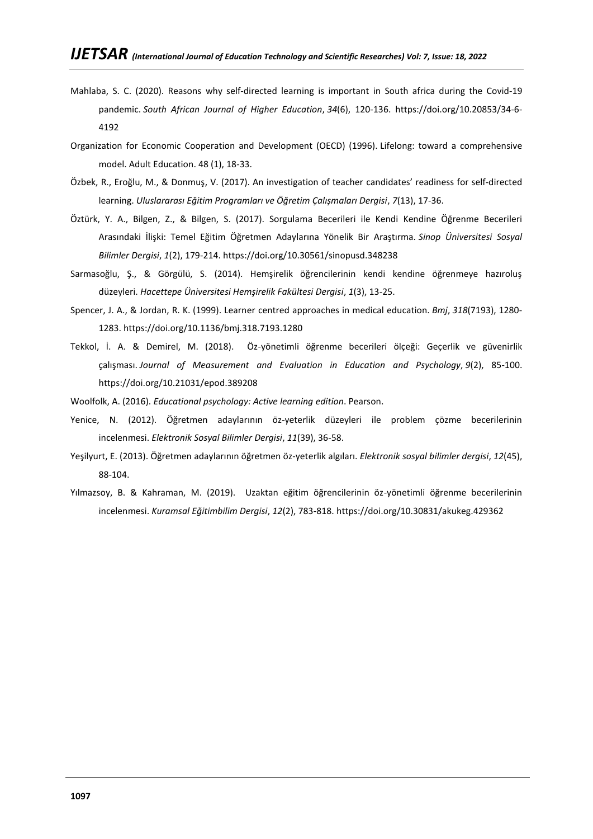- Mahlaba, S. C. (2020). Reasons why self-directed learning is important in South africa during the Covid-19 pandemic. *South African Journal of Higher Education*, *34*(6), 120-136. [https://doi.org/10.20853/34-6-](https://doi.org/10.20853/34-6-4192) [4192](https://doi.org/10.20853/34-6-4192)
- Organization for Economic Cooperation and Development (OECD) (1996). Lifelong: toward a comprehensive model. Adult Education. 48 (1), 18-33.
- Özbek, R., Eroğlu, M., & Donmuş, V. (2017). An investigation of teacher candidates' readiness for self-directed learning. *Uluslararası Eğitim Programları ve Öğretim Çalışmaları Dergisi*, *7*(13), 17-36.
- Öztürk, Y. A., Bilgen, Z., & Bilgen, S. (2017). Sorgulama Becerileri ile Kendi Kendine Öğrenme Becerileri Arasındaki İlişki: Temel Eğitim Öğretmen Adaylarına Yönelik Bir Araştırma. *Sinop Üniversitesi Sosyal Bilimler Dergisi*, *1*(2), 179-214.<https://doi.org/10.30561/sinopusd.348238>
- Sarmasoğlu, Ş., & Görgülü, S. (2014). Hemşirelik öğrencilerinin kendi kendine öğrenmeye hazıroluş düzeyleri. *Hacettepe Üniversitesi Hemşirelik Fakültesi Dergisi*, *1*(3), 13-25.
- Spencer, J. A., & Jordan, R. K. (1999). Learner centred approaches in medical education. *Bmj*, *318*(7193), 1280- 1283.<https://doi.org/10.1136/bmj.318.7193.1280>
- Tekkol, İ. A. & Demirel, M. (2018). Öz-yönetimli öğrenme becerileri ölçeği: Geçerlik ve güvenirlik çalışması. *Journal of Measurement and Evaluation in Education and Psychology*, *9*(2), 85-100. <https://doi.org/10.21031/epod.389208>

Woolfolk, A. (2016). *Educational psychology: Active learning edition*. Pearson.

- Yenice, N. (2012). Öğretmen adaylarının öz-yeterlik düzeyleri ile problem çözme becerilerinin incelenmesi. *Elektronik Sosyal Bilimler Dergisi*, *11*(39), 36-58.
- Yeşilyurt, E. (2013). Öğretmen adaylarının öğretmen öz-yeterlik algıları. *Elektronik sosyal bilimler dergisi*, *12*(45), 88-104.
- Yılmazsoy, B. & Kahraman, M. (2019). Uzaktan eğitim öğrencilerinin öz-yönetimli öğrenme becerilerinin incelenmesi. *Kuramsal Eğitimbilim Dergisi*, *12*(2), 783-818.<https://doi.org/10.30831/akukeg.429362>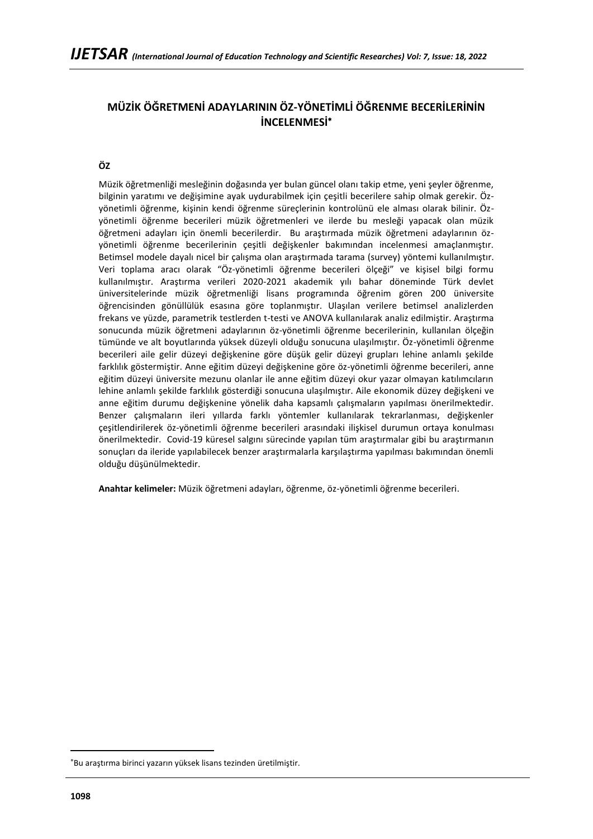# **MÜZİK ÖĞRETMENİ ADAYLARININ ÖZ-YÖNETİMLİ ÖĞRENME BECERİLERİNİN İNCELENMESİ**

# **ÖZ**

Müzik öğretmenliği mesleğinin doğasında yer bulan güncel olanı takip etme, yeni şeyler öğrenme, bilginin yaratımı ve değişimine ayak uydurabilmek için çeşitli becerilere sahip olmak gerekir. Özyönetimli öğrenme, kişinin kendi öğrenme süreçlerinin kontrolünü ele alması olarak bilinir. Özyönetimli öğrenme becerileri müzik öğretmenleri ve ilerde bu mesleği yapacak olan müzik öğretmeni adayları için önemli becerilerdir. Bu araştırmada müzik öğretmeni adaylarının özyönetimli öğrenme becerilerinin çeşitli değişkenler bakımından incelenmesi amaçlanmıştır. Betimsel modele dayalı nicel bir çalışma olan araştırmada tarama (survey) yöntemi kullanılmıştır. Veri toplama aracı olarak "Öz-yönetimli öğrenme becerileri ölçeği" ve kişisel bilgi formu kullanılmıştır. Araştırma verileri 2020-2021 akademik yılı bahar döneminde Türk devlet üniversitelerinde müzik öğretmenliği lisans programında öğrenim gören 200 üniversite öğrencisinden gönüllülük esasına göre toplanmıştır. Ulaşılan verilere betimsel analizlerden frekans ve yüzde, parametrik testlerden t-testi ve ANOVA kullanılarak analiz edilmiştir. Araştırma sonucunda müzik öğretmeni adaylarının öz-yönetimli öğrenme becerilerinin, kullanılan ölçeğin tümünde ve alt boyutlarında yüksek düzeyli olduğu sonucuna ulaşılmıştır. Öz-yönetimli öğrenme becerileri aile gelir düzeyi değişkenine göre düşük gelir düzeyi grupları lehine anlamlı şekilde farklılık göstermiştir. Anne eğitim düzeyi değişkenine göre öz-yönetimli öğrenme becerileri, anne eğitim düzeyi üniversite mezunu olanlar ile anne eğitim düzeyi okur yazar olmayan katılımcıların lehine anlamlı şekilde farklılık gösterdiği sonucuna ulaşılmıştır. Aile ekonomik düzey değişkeni ve anne eğitim durumu değişkenine yönelik daha kapsamlı çalışmaların yapılması önerilmektedir. Benzer çalışmaların ileri yıllarda farklı yöntemler kullanılarak tekrarlanması, değişkenler çeşitlendirilerek öz-yönetimli öğrenme becerileri arasındaki ilişkisel durumun ortaya konulması önerilmektedir. Covid-19 küresel salgını sürecinde yapılan tüm araştırmalar gibi bu araştırmanın sonuçları da ileride yapılabilecek benzer araştırmalarla karşılaştırma yapılması bakımından önemli olduğu düşünülmektedir.

**Anahtar kelimeler:** Müzik öğretmeni adayları, öğrenme, öz-yönetimli öğrenme becerileri.

Bu araştırma birinci yazarın yüksek lisans tezinden üretilmiştir.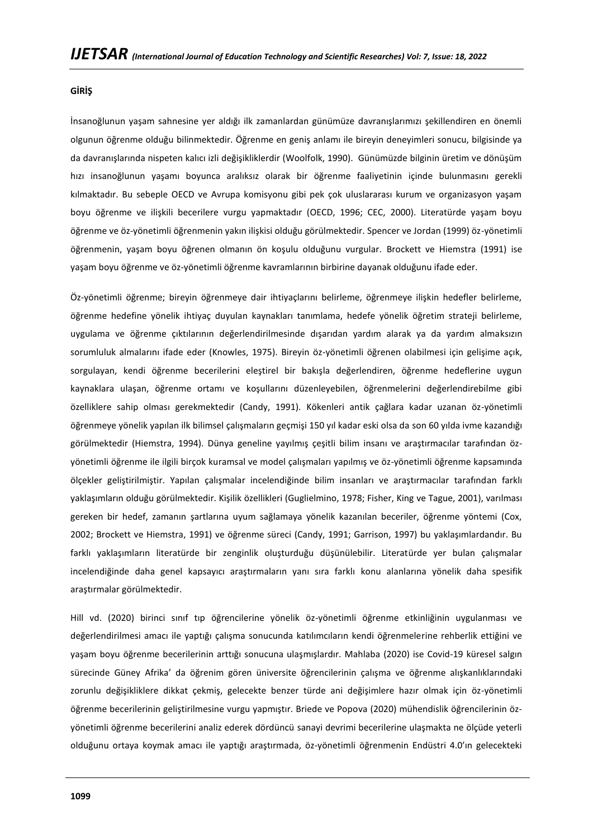#### **GİRİŞ**

İnsanoğlunun yaşam sahnesine yer aldığı ilk zamanlardan günümüze davranışlarımızı şekillendiren en önemli olgunun öğrenme olduğu bilinmektedir. Öğrenme en geniş anlamı ile bireyin deneyimleri sonucu, bilgisinde ya da davranışlarında nispeten kalıcı izli değişikliklerdir (Woolfolk, 1990). Günümüzde bilginin üretim ve dönüşüm hızı insanoğlunun yaşamı boyunca aralıksız olarak bir öğrenme faaliyetinin içinde bulunmasını gerekli kılmaktadır. Bu sebeple OECD ve Avrupa komisyonu gibi pek çok uluslararası kurum ve organizasyon yaşam boyu öğrenme ve ilişkili becerilere vurgu yapmaktadır (OECD, 1996; CEC, 2000). Literatürde yaşam boyu öğrenme ve öz-yönetimli öğrenmenin yakın ilişkisi olduğu görülmektedir. Spencer ve Jordan (1999) öz-yönetimli öğrenmenin, yaşam boyu öğrenen olmanın ön koşulu olduğunu vurgular. Brockett ve Hiemstra (1991) ise yaşam boyu öğrenme ve öz-yönetimli öğrenme kavramlarının birbirine dayanak olduğunu ifade eder.

Öz-yönetimli öğrenme; bireyin öğrenmeye dair ihtiyaçlarını belirleme, öğrenmeye ilişkin hedefler belirleme, öğrenme hedefine yönelik ihtiyaç duyulan kaynakları tanımlama, hedefe yönelik öğretim strateji belirleme, uygulama ve öğrenme çıktılarının değerlendirilmesinde dışarıdan yardım alarak ya da yardım almaksızın sorumluluk almalarını ifade eder (Knowles, 1975). Bireyin öz-yönetimli öğrenen olabilmesi için gelişime açık, sorgulayan, kendi öğrenme becerilerini eleştirel bir bakışla değerlendiren, öğrenme hedeflerine uygun kaynaklara ulaşan, öğrenme ortamı ve koşullarını düzenleyebilen, öğrenmelerini değerlendirebilme gibi özelliklere sahip olması gerekmektedir (Candy, 1991). Kökenleri antik çağlara kadar uzanan öz-yönetimli öğrenmeye yönelik yapılan ilk bilimsel çalışmaların geçmişi 150 yıl kadar eski olsa da son 60 yılda ivme kazandığı görülmektedir (Hiemstra, 1994). Dünya geneline yayılmış çeşitli bilim insanı ve araştırmacılar tarafından özyönetimli öğrenme ile ilgili birçok kuramsal ve model çalışmaları yapılmış ve öz-yönetimli öğrenme kapsamında ölçekler geliştirilmiştir. Yapılan çalışmalar incelendiğinde bilim insanları ve araştırmacılar tarafından farklı yaklaşımların olduğu görülmektedir. Kişilik özellikleri (Guglielmino, 1978; Fisher, King ve Tague, 2001), varılması gereken bir hedef, zamanın şartlarına uyum sağlamaya yönelik kazanılan beceriler, öğrenme yöntemi (Cox, 2002; Brockett ve Hiemstra, 1991) ve öğrenme süreci (Candy, 1991; Garrison, 1997) bu yaklaşımlardandır. Bu farklı yaklaşımların literatürde bir zenginlik oluşturduğu düşünülebilir. Literatürde yer bulan çalışmalar incelendiğinde daha genel kapsayıcı araştırmaların yanı sıra farklı konu alanlarına yönelik daha spesifik araştırmalar görülmektedir.

Hill vd. (2020) birinci sınıf tıp öğrencilerine yönelik öz-yönetimli öğrenme etkinliğinin uygulanması ve değerlendirilmesi amacı ile yaptığı çalışma sonucunda katılımcıların kendi öğrenmelerine rehberlik ettiğini ve yaşam boyu öğrenme becerilerinin arttığı sonucuna ulaşmışlardır. Mahlaba (2020) ise Covid-19 küresel salgın sürecinde Güney Afrika' da öğrenim gören üniversite öğrencilerinin çalışma ve öğrenme alışkanlıklarındaki zorunlu değişikliklere dikkat çekmiş, gelecekte benzer türde ani değişimlere hazır olmak için öz-yönetimli öğrenme becerilerinin geliştirilmesine vurgu yapmıştır. Briede ve Popova (2020) mühendislik öğrencilerinin özyönetimli öğrenme becerilerini analiz ederek dördüncü sanayi devrimi becerilerine ulaşmakta ne ölçüde yeterli olduğunu ortaya koymak amacı ile yaptığı araştırmada, öz-yönetimli öğrenmenin Endüstri 4.0'ın gelecekteki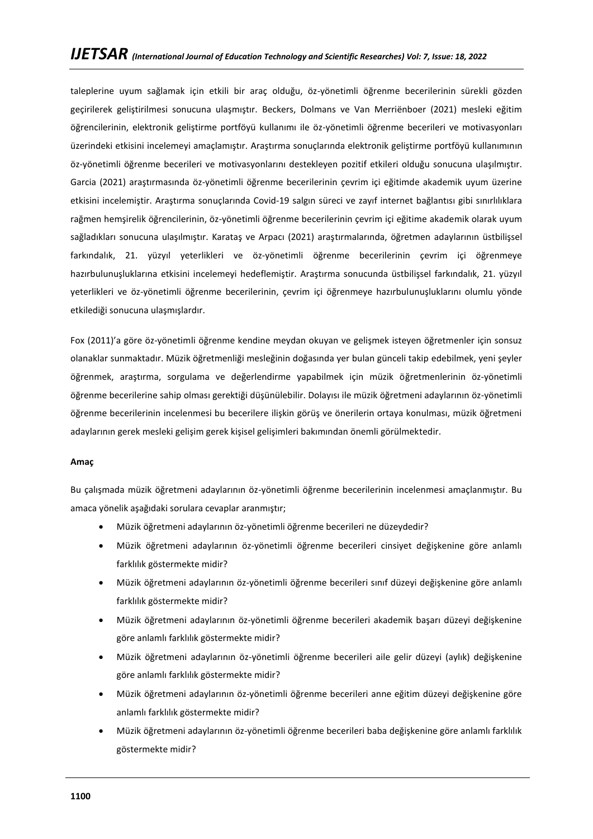taleplerine uyum sağlamak için etkili bir araç olduğu, öz-yönetimli öğrenme becerilerinin sürekli gözden geçirilerek geliştirilmesi sonucuna ulaşmıştır. Beckers, Dolmans ve Van Merriënboer (2021) mesleki eğitim öğrencilerinin, elektronik geliştirme portföyü kullanımı ile öz-yönetimli öğrenme becerileri ve motivasyonları üzerindeki etkisini incelemeyi amaçlamıştır. Araştırma sonuçlarında elektronik geliştirme portföyü kullanımının öz-yönetimli öğrenme becerileri ve motivasyonlarını destekleyen pozitif etkileri olduğu sonucuna ulaşılmıştır. Garcia (2021) araştırmasında öz-yönetimli öğrenme becerilerinin çevrim içi eğitimde akademik uyum üzerine etkisini incelemiştir. Araştırma sonuçlarında Covid-19 salgın süreci ve zayıf internet bağlantısı gibi sınırlılıklara rağmen hemşirelik öğrencilerinin, öz-yönetimli öğrenme becerilerinin çevrim içi eğitime akademik olarak uyum sağladıkları sonucuna ulaşılmıştır. Karataş ve Arpacı (2021) araştırmalarında, öğretmen adaylarının üstbilişsel farkındalık, 21. yüzyıl yeterlikleri ve öz-yönetimli öğrenme becerilerinin çevrim içi öğrenmeye hazırbulunuşluklarına etkisini incelemeyi hedeflemiştir. Araştırma sonucunda üstbilişsel farkındalık, 21. yüzyıl yeterlikleri ve öz-yönetimli öğrenme becerilerinin, çevrim içi öğrenmeye hazırbulunuşluklarını olumlu yönde etkilediği sonucuna ulaşmışlardır.

Fox (2011)'a göre öz-yönetimli öğrenme kendine meydan okuyan ve gelişmek isteyen öğretmenler için sonsuz olanaklar sunmaktadır. Müzik öğretmenliği mesleğinin doğasında yer bulan günceli takip edebilmek, yeni şeyler öğrenmek, araştırma, sorgulama ve değerlendirme yapabilmek için müzik öğretmenlerinin öz-yönetimli öğrenme becerilerine sahip olması gerektiği düşünülebilir. Dolayısı ile müzik öğretmeni adaylarının öz-yönetimli öğrenme becerilerinin incelenmesi bu becerilere ilişkin görüş ve önerilerin ortaya konulması, müzik öğretmeni adaylarının gerek mesleki gelişim gerek kişisel gelişimleri bakımından önemli görülmektedir.

#### **Amaç**

Bu çalışmada müzik öğretmeni adaylarının öz-yönetimli öğrenme becerilerinin incelenmesi amaçlanmıştır. Bu amaca yönelik aşağıdaki sorulara cevaplar aranmıştır;

- Müzik öğretmeni adaylarının öz-yönetimli öğrenme becerileri ne düzeydedir?
- Müzik öğretmeni adaylarının öz-yönetimli öğrenme becerileri cinsiyet değişkenine göre anlamlı farklılık göstermekte midir?
- Müzik öğretmeni adaylarının öz-yönetimli öğrenme becerileri sınıf düzeyi değişkenine göre anlamlı farklılık göstermekte midir?
- Müzik öğretmeni adaylarının öz-yönetimli öğrenme becerileri akademik başarı düzeyi değişkenine göre anlamlı farklılık göstermekte midir?
- Müzik öğretmeni adaylarının öz-yönetimli öğrenme becerileri aile gelir düzeyi (aylık) değişkenine göre anlamlı farklılık göstermekte midir?
- Müzik öğretmeni adaylarının öz-yönetimli öğrenme becerileri anne eğitim düzeyi değişkenine göre anlamlı farklılık göstermekte midir?
- Müzik öğretmeni adaylarının öz-yönetimli öğrenme becerileri baba değişkenine göre anlamlı farklılık göstermekte midir?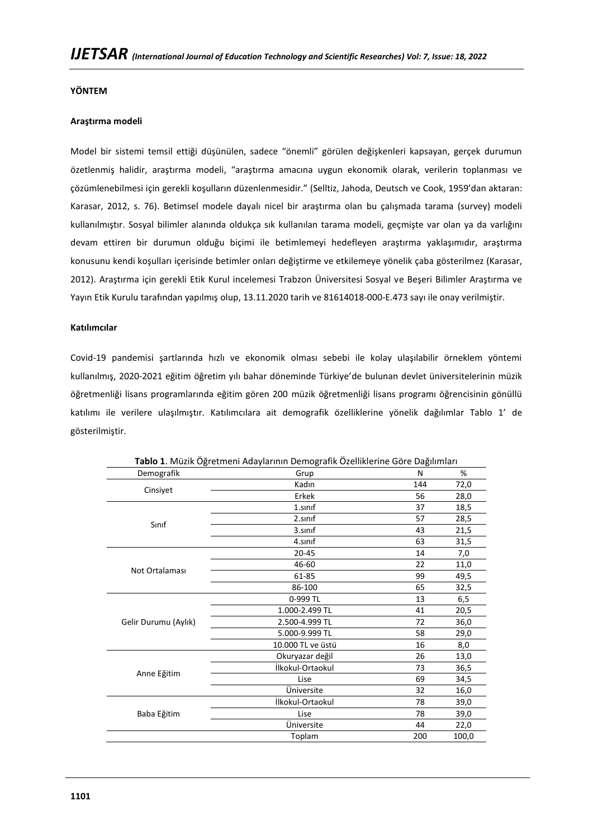### **YÖNTEM**

### **Araştırma modeli**

Model bir sistemi temsil ettiği düşünülen, sadece "önemli" görülen değişkenleri kapsayan, gerçek durumun özetlenmiş halidir, araştırma modeli, "araştırma amacına uygun ekonomik olarak, verilerin toplanması ve çözümlenebilmesi için gerekli koşulların düzenlenmesidir." (Selltiz, Jahoda, Deutsch ve Cook, 1959'dan aktaran: Karasar, 2012, s. 76). Betimsel modele dayalı nicel bir araştırma olan bu çalışmada tarama (survey) modeli kullanılmıştır. Sosyal bilimler alanında oldukça sık kullanılan tarama modeli, geçmişte var olan ya da varlığını devam ettiren bir durumun olduğu biçimi ile betimlemeyi hedefleyen araştırma yaklaşımıdır, araştırma konusunu kendi koşulları içerisinde betimler onları değiştirme ve etkilemeye yönelik çaba gösterilmez (Karasar, 2012). Araştırma için gerekli Etik Kurul incelemesi Trabzon Üniversitesi Sosyal ve Beşeri Bilimler Araştırma ve Yayın Etik Kurulu tarafından yapılmış olup, 13.11.2020 tarih ve 81614018-000-E.473 sayı ile onay verilmiştir.

### **Katılımcılar**

Covid-19 pandemisi şartlarında hızlı ve ekonomik olması sebebi ile kolay ulaşılabilir örneklem yöntemi kullanılmış, 2020-2021 eğitim öğretim yılı bahar döneminde Türkiye'de bulunan devlet üniversitelerinin müzik öğretmenliği lisans programlarında eğitim gören 200 müzik öğretmenliği lisans programı öğrencisinin gönüllü katılımı ile verilere ulaşılmıştır. Katılımcılara ait demografik özelliklerine yönelik dağılımlar Tablo 1' de gösterilmiştir.

|                      | Tablo 1. Müzik Öğretmeni Adaylarının Demografik Özelliklerine Göre Dağılımları |     |       |
|----------------------|--------------------------------------------------------------------------------|-----|-------|
| Demografik           | Grup                                                                           | N   | %     |
|                      | Kadın                                                                          | 144 | 72,0  |
| Cinsiyet             | Erkek                                                                          | 56  | 28,0  |
|                      | $1$ .sinif                                                                     | 37  | 18,5  |
| Sinif                | 2.sinif                                                                        | 57  | 28,5  |
|                      | 3.sinif                                                                        | 43  | 21,5  |
|                      | 4.sinif                                                                        | 63  | 31,5  |
|                      | $20 - 45$                                                                      | 14  | 7,0   |
|                      | 46-60                                                                          | 22  | 11,0  |
| Not Ortalaması       | 61-85                                                                          | 99  | 49,5  |
|                      | 86-100                                                                         | 65  | 32,5  |
|                      | 0-999 TL                                                                       | 13  | 6,5   |
|                      | 1.000-2.499 TL                                                                 | 41  | 20,5  |
| Gelir Durumu (Aylık) | 2.500-4.999 TL                                                                 | 72  | 36,0  |
|                      | 5.000-9.999 TL                                                                 | 58  | 29,0  |
|                      | 10.000 TL ve üstü                                                              | 16  | 8,0   |
|                      | Okuryazar değil                                                                | 26  | 13,0  |
|                      | İlkokul-Ortaokul                                                               | 73  | 36,5  |
| Anne Eğitim          | Lise                                                                           | 69  | 34,5  |
|                      | Üniversite                                                                     | 32  | 16,0  |
|                      | İlkokul-Ortaokul                                                               | 78  | 39,0  |
| Baba Eğitim          | Lise                                                                           | 78  | 39,0  |
|                      | Üniversite                                                                     | 44  | 22,0  |
|                      | Toplam                                                                         | 200 | 100,0 |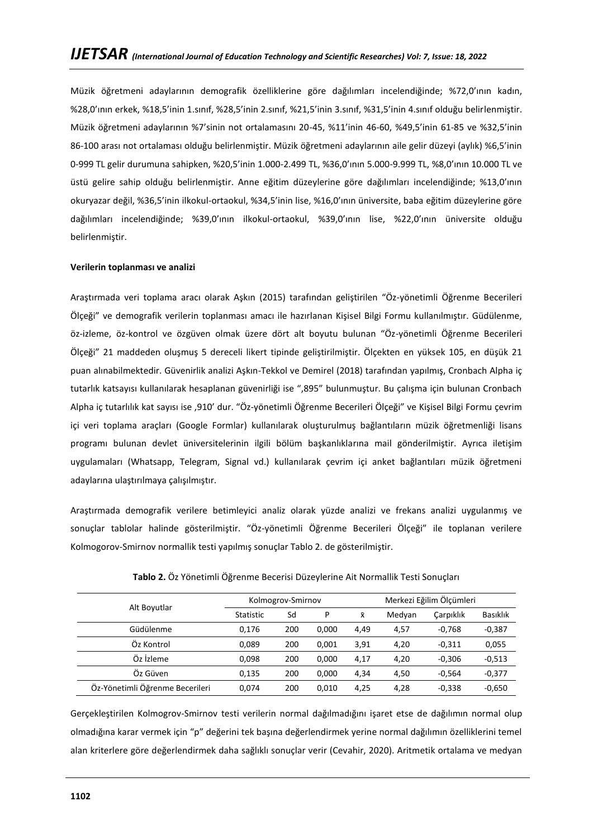Müzik öğretmeni adaylarının demografik özelliklerine göre dağılımları incelendiğinde; %72,0'ının kadın, %28,0'ının erkek, %18,5'inin 1.sınıf, %28,5'inin 2.sınıf, %21,5'inin 3.sınıf, %31,5'inin 4.sınıf olduğu belirlenmiştir. Müzik öğretmeni adaylarının %7'sinin not ortalamasını 20-45, %11'inin 46-60, %49,5'inin 61-85 ve %32,5'inin 86-100 arası not ortalaması olduğu belirlenmiştir. Müzik öğretmeni adaylarının aile gelir düzeyi (aylık) %6,5'inin 0-999 TL gelir durumuna sahipken, %20,5'inin 1.000-2.499 TL, %36,0'ının 5.000-9.999 TL, %8,0'ının 10.000 TL ve üstü gelire sahip olduğu belirlenmiştir. Anne eğitim düzeylerine göre dağılımları incelendiğinde; %13,0'ının okuryazar değil, %36,5'inin ilkokul-ortaokul, %34,5'inin lise, %16,0'ının üniversite, baba eğitim düzeylerine göre dağılımları incelendiğinde; %39,0'ının ilkokul-ortaokul, %39,0'ının lise, %22,0'ının üniversite olduğu belirlenmiştir.

### **Verilerin toplanması ve analizi**

Araştırmada veri toplama aracı olarak Aşkın (2015) tarafından geliştirilen "Öz-yönetimli Öğrenme Becerileri Ölçeği" ve demografik verilerin toplanması amacı ile hazırlanan Kişisel Bilgi Formu kullanılmıştır. Güdülenme, öz-izleme, öz-kontrol ve özgüven olmak üzere dört alt boyutu bulunan "Öz-yönetimli Öğrenme Becerileri Ölçeği" 21 maddeden oluşmuş 5 dereceli likert tipinde geliştirilmiştir. Ölçekten en yüksek 105, en düşük 21 puan alınabilmektedir. Güvenirlik analizi Aşkın-Tekkol ve Demirel (2018) tarafından yapılmış, Cronbach Alpha iç tutarlık katsayısı kullanılarak hesaplanan güvenirliği ise ",895" bulunmuştur. Bu çalışma için bulunan Cronbach Alpha iç tutarlılık kat sayısı ise ,910' dur. "Öz-yönetimli Öğrenme Becerileri Ölçeği" ve Kişisel Bilgi Formu çevrim içi veri toplama araçları (Google Formlar) kullanılarak oluşturulmuş bağlantıların müzik öğretmenliği lisans programı bulunan devlet üniversitelerinin ilgili bölüm başkanlıklarına mail gönderilmiştir. Ayrıca iletişim uygulamaları (Whatsapp, Telegram, Signal vd.) kullanılarak çevrim içi anket bağlantıları müzik öğretmeni adaylarına ulaştırılmaya çalışılmıştır.

Araştırmada demografik verilere betimleyici analiz olarak yüzde analizi ve frekans analizi uygulanmış ve sonuçlar tablolar halinde gösterilmiştir. "Öz-yönetimli Öğrenme Becerileri Ölçeği" ile toplanan verilere Kolmogorov-Smirnov normallik testi yapılmış sonuçlar Tablo 2. de gösterilmiştir.

|                                 |                  | Kolmogrov-Smirnov |       | Merkezi Eğilim Ölçümleri |        |           |                 |
|---------------------------------|------------------|-------------------|-------|--------------------------|--------|-----------|-----------------|
| Alt Boyutlar                    | <b>Statistic</b> | Sd                | P     | $\bar{x}$                | Medyan | Carpiklik | <b>Basıklık</b> |
| Güdülenme                       | 0.176            | 200               | 0.000 | 4,49                     | 4,57   | $-0.768$  | $-0,387$        |
| Öz Kontrol                      | 0.089            | 200               | 0.001 | 3,91                     | 4,20   | $-0,311$  | 0,055           |
| Öz İzleme                       | 0.098            | 200               | 0.000 | 4,17                     | 4,20   | $-0.306$  | $-0,513$        |
| Öz Güven                        | 0,135            | 200               | 0.000 | 4,34                     | 4,50   | $-0.564$  | $-0,377$        |
| Öz-Yönetimli Öğrenme Becerileri | 0.074            | 200               | 0.010 | 4.25                     | 4,28   | $-0,338$  | $-0,650$        |

**Tablo 2.** Öz Yönetimli Öğrenme Becerisi Düzeylerine Ait Normallik Testi Sonuçları

Gerçekleştirilen Kolmogrov-Smirnov testi verilerin normal dağılmadığını işaret etse de dağılımın normal olup olmadığına karar vermek için "p" değerini tek başına değerlendirmek yerine normal dağılımın özelliklerini temel alan kriterlere göre değerlendirmek daha sağlıklı sonuçlar verir (Cevahir, 2020). Aritmetik ortalama ve medyan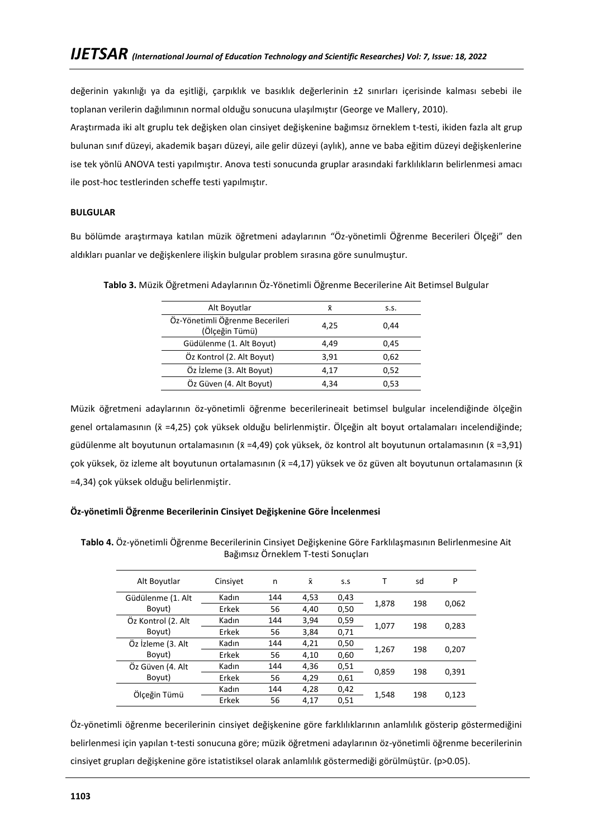değerinin yakınlığı ya da eşitliği, çarpıklık ve basıklık değerlerinin ±2 sınırları içerisinde kalması sebebi ile toplanan verilerin dağılımının normal olduğu sonucuna ulaşılmıştır (George ve Mallery, 2010).

Araştırmada iki alt gruplu tek değişken olan cinsiyet değişkenine bağımsız örneklem t-testi, ikiden fazla alt grup bulunan sınıf düzeyi, akademik başarı düzeyi, aile gelir düzeyi (aylık), anne ve baba eğitim düzeyi değişkenlerine ise tek yönlü ANOVA testi yapılmıştır. Anova testi sonucunda gruplar arasındaki farklılıkların belirlenmesi amacı ile post-hoc testlerinden scheffe testi yapılmıştır.

# **BULGULAR**

Bu bölümde araştırmaya katılan müzik öğretmeni adaylarının "Öz-yönetimli Öğrenme Becerileri Ölçeği" den aldıkları puanlar ve değişkenlere ilişkin bulgular problem sırasına göre sunulmuştur.

| Alt Boyutlar                                      | Χī   | S.S. |
|---------------------------------------------------|------|------|
| Öz-Yönetimli Öğrenme Becerileri<br>(Ölçeğin Tümü) | 4,25 | 0.44 |
| Güdülenme (1. Alt Boyut)                          | 4.49 | 0,45 |
| Öz Kontrol (2. Alt Boyut)                         | 3.91 | 0,62 |
| Öz İzleme (3. Alt Boyut)                          | 4.17 | 0,52 |
| Öz Güven (4. Alt Boyut)                           | 4.34 | 0.53 |

**Tablo 3.** Müzik Öğretmeni Adaylarının Öz-Yönetimli Öğrenme Becerilerine Ait Betimsel Bulgular

Müzik öğretmeni adaylarının öz-yönetimli öğrenme becerilerineait betimsel bulgular incelendiğinde ölçeğin genel ortalamasının (x̄=4,25) çok yüksek olduğu belirlenmiştir. Ölçeğin alt boyut ortalamaları incelendiğinde; güdülenme alt boyutunun ortalamasının ( $\bar{x}$  =4,49) çok yüksek, öz kontrol alt boyutunun ortalamasının ( $\bar{x}$  =3,91) çok yüksek, öz izleme alt boyutunun ortalamasının (x̄=4,17) yüksek ve öz güven alt boyutunun ortalamasının (x̄ =4,34) çok yüksek olduğu belirlenmiştir.

# **Öz-yönetimli Öğrenme Becerilerinin Cinsiyet Değişkenine Göre İncelenmesi**

| Tablo 4. Öz-yönetimli Öğrenme Becerilerinin Cinsiyet Değişkenine Göre Farklılaşmasının Belirlenmesine Ait |  |
|-----------------------------------------------------------------------------------------------------------|--|
| Bağımsız Örneklem T-testi Sonuçları                                                                       |  |

| Alt Boyutlar       | Cinsivet | n   | $\bar{x}$ | S.S  | т     | sd  | P     |
|--------------------|----------|-----|-----------|------|-------|-----|-------|
| Güdülenme (1. Alt  | Kadın    | 144 | 4,53      | 0,43 | 1,878 | 198 | 0,062 |
| Boyut)             | Erkek    | 56  | 4,40      | 0,50 |       |     |       |
| Öz Kontrol (2. Alt | Kadın    | 144 | 3,94      | 0,59 | 1,077 | 198 | 0,283 |
| Boyut)             | Erkek    | 56  | 3,84      | 0,71 |       |     |       |
| Öz İzleme (3. Alt  | Kadın    | 144 | 4,21      | 0,50 |       | 198 |       |
| Boyut)             | Erkek    | 56  | 4,10      | 0,60 | 1,267 |     | 0,207 |
| Öz Güven (4. Alt   | Kadın    | 144 | 4,36      | 0,51 | 0,859 | 198 |       |
| Boyut)             | Erkek    | 56  | 4,29      | 0,61 |       |     | 0,391 |
| Ölçeğin Tümü       | Kadın    | 144 | 4,28      | 0,42 |       |     |       |
|                    | Erkek    | 56  | 4,17      | 0,51 | 1,548 | 198 | 0,123 |

Öz-yönetimli öğrenme becerilerinin cinsiyet değişkenine göre farklılıklarının anlamlılık gösterip göstermediğini belirlenmesi için yapılan t-testi sonucuna göre; müzik öğretmeni adaylarının öz-yönetimli öğrenme becerilerinin cinsiyet grupları değişkenine göre istatistiksel olarak anlamlılık göstermediği görülmüştür. (p>0.05).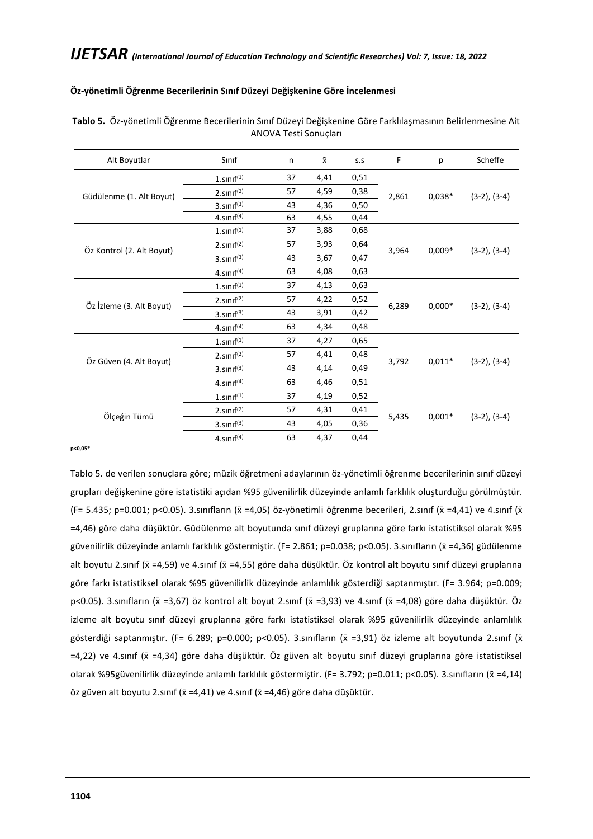### **Öz-yönetimli Öğrenme Becerilerinin Sınıf Düzeyi Değişkenine Göre İncelenmesi**

| Alt Boyutlar              | Sinif                  | n  | $\bar{\mathsf{x}}$ | S.S  | F                 | р        | Scheffe           |
|---------------------------|------------------------|----|--------------------|------|-------------------|----------|-------------------|
|                           | $1.\text{sinif}^{(1)}$ | 37 | 4,41               | 0,51 |                   |          | $(3-2), (3-4)$    |
| Güdülenme (1. Alt Boyut)  | 2.sin <sup>(2)</sup>   | 57 | 4,59               | 0,38 | 2,861             | $0,038*$ |                   |
|                           | $3.$ sınıf $^{(3)}$    | 43 | 4,36               | 0,50 |                   |          |                   |
|                           | $4.$ sınıf $(4)$       | 63 | 4,55               | 0,44 |                   |          |                   |
|                           | $1.\text{sinif}^{(1)}$ | 37 | 3,88               | 0,68 |                   |          |                   |
|                           | $2.\text{sinif}^{(2)}$ | 57 | 3,93               | 0,64 |                   | $0,009*$ | $(3-2), (3-4)$    |
| Öz Kontrol (2. Alt Boyut) | $3.$ sınıf $^{(3)}$    | 43 | 3,67               | 0,47 | 3,964             |          |                   |
|                           | $4.\text{snnf}^{(4)}$  | 63 | 4,08               | 0,63 |                   |          |                   |
|                           | $1.\text{snnf}^{(1)}$  | 37 | 4,13               | 0,63 | 6,289             | $0,000*$ | $(3-2), (3-4)$    |
| Öz İzleme (3. Alt Boyut)  | $2.\text{sinif}^{(2)}$ | 57 | 4,22               | 0,52 |                   |          |                   |
|                           | $3.$ sınıf $^{(3)}$    | 43 | 3,91               | 0,42 |                   |          |                   |
|                           | $4.$ sınıf $(4)$       | 63 | 4,34               | 0,48 |                   |          |                   |
|                           | $1.\text{snnf}^{(1)}$  | 37 | 4,27               | 0,65 |                   |          |                   |
|                           | $2.\text{sinif}^{(2)}$ | 57 | 4,41               | 0,48 |                   |          |                   |
| Öz Güven (4. Alt Boyut)   | $3.$ sını $f^{(3)}$    | 43 | 4,14               | 0,49 | 3,792             | $0,011*$ | $(3-2)$ , $(3-4)$ |
|                           | $4.$ sınıf $(4)$       | 63 | 4,46               | 0,51 |                   |          |                   |
|                           | $1.\text{snnf}^{(1)}$  | 37 | 4,19               | 0,52 |                   |          |                   |
|                           | $2.\text{sinif}^{(2)}$ | 57 | 4,31               | 0,41 |                   |          |                   |
| Ölçeğin Tümü              | $3.$ sını $f^{(3)}$    | 43 | 4,05               | 0,36 | 5,435<br>$0,001*$ |          | $(3-2)$ , $(3-4)$ |
|                           | $4.$ sınıf $(4)$       | 63 | 4,37               | 0,44 |                   |          |                   |

**Tablo 5.** Öz-yönetimli Öğrenme Becerilerinin Sınıf Düzeyi Değişkenine Göre Farklılaşmasının Belirlenmesine Ait ANOVA Testi Sonuçları

**p<0,05\***

Tablo 5. de verilen sonuçlara göre; müzik öğretmeni adaylarının öz-yönetimli öğrenme becerilerinin sınıf düzeyi grupları değişkenine göre istatistiki açıdan %95 güvenilirlik düzeyinde anlamlı farklılık oluşturduğu görülmüştür. (F= 5.435; p=0.001; p<0.05). 3.sınıfların ( $\bar{x}$  =4,05) öz-yönetimli öğrenme becerileri, 2.sınıf ( $\bar{x}$  =4,41) ve 4.sınıf ( $\bar{x}$ =4,46) göre daha düşüktür. Güdülenme alt boyutunda sınıf düzeyi gruplarına göre farkı istatistiksel olarak %95 güvenilirlik düzeyinde anlamlı farklılık göstermiştir. (F= 2.861; p=0.038; p<0.05). 3.sınıfların (x̄=4,36) güdülenme alt boyutu 2.sınıf (x =4,59) ve 4.sınıf (x =4,55) göre daha düşüktür. Öz kontrol alt boyutu sınıf düzeyi gruplarına göre farkı istatistiksel olarak %95 güvenilirlik düzeyinde anlamlılık gösterdiği saptanmıştır. (F= 3.964; p=0.009; p<0.05). 3.sınıfların (x̄=3,67) öz kontrol alt boyut 2.sınıf (x̄=3,93) ve 4.sınıf (x̄=4,08) göre daha düşüktür. Öz izleme alt boyutu sınıf düzeyi gruplarına göre farkı istatistiksel olarak %95 güvenilirlik düzeyinde anlamlılık gösterdiği saptanmıştır. (F= 6.289; p=0.000; p<0.05). 3.sınıfların ( $\bar{x}$  =3,91) öz izleme alt boyutunda 2.sınıf ( $\bar{x}$ =4,22) ve 4.sınıf (x̄=4,34) göre daha düşüktür. Öz güven alt boyutu sınıf düzeyi gruplarına göre istatistiksel olarak %95güvenilirlik düzeyinde anlamlı farklılık göstermiştir. (F= 3.792; p=0.011; p<0.05). 3.sınıfların (x̄=4,14) öz güven alt boyutu 2.sınıf ( $\bar{x}$  =4,41) ve 4.sınıf ( $\bar{x}$  =4,46) göre daha düşüktür.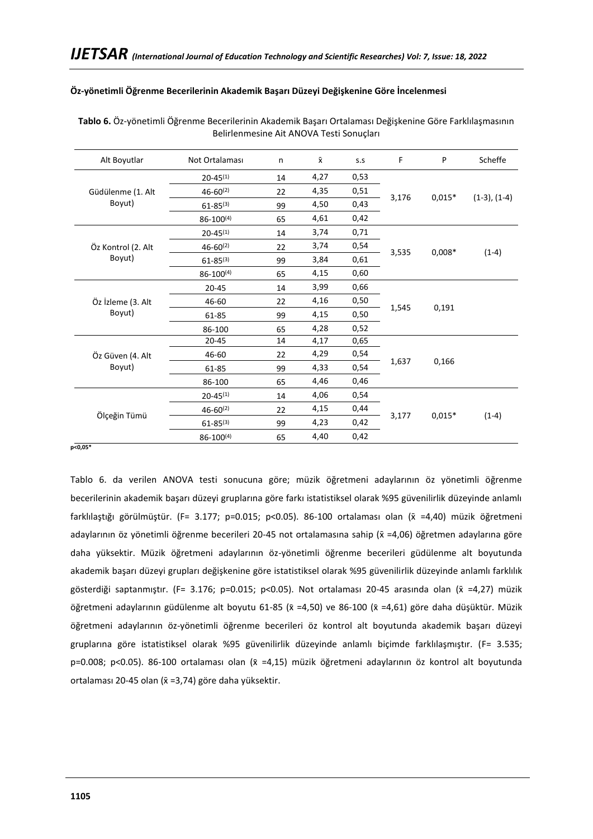# **Öz-yönetimli Öğrenme Becerilerinin Akademik Başarı Düzeyi Değişkenine Göre İncelenmesi**

| Alt Boyutlar       | Not Ortalaması   | n  | $\bar{x}$ | S.S  | F     | P        | Scheffe        |
|--------------------|------------------|----|-----------|------|-------|----------|----------------|
|                    | $20 - 45^{(1)}$  | 14 | 4,27      | 0,53 |       |          |                |
| Güdülenme (1. Alt  | $46 - 60^{(2)}$  | 22 | 4,35      | 0,51 | 3,176 | $0,015*$ |                |
| Boyut)             | $61 - 85^{(3)}$  | 99 | 4,50      | 0,43 |       |          | $(1-3), (1-4)$ |
|                    | 86-100(4)        | 65 | 4,61      | 0,42 |       |          |                |
|                    | $20 - 45^{(1)}$  | 14 | 3,74      | 0,71 |       |          |                |
| Öz Kontrol (2. Alt | $46 - 60^{(2)}$  | 22 | 3,74      | 0,54 |       | $0,008*$ | $(1-4)$        |
| Boyut)             | $61 - 85^{(3)}$  | 99 | 3,84      | 0,61 | 3,535 |          |                |
|                    | $86 - 100^{(4)}$ | 65 | 4,15      | 0,60 |       |          |                |
|                    | $20 - 45$        | 14 | 3,99      | 0,66 |       | 0,191    |                |
| Öz İzleme (3. Alt  | 46-60            | 22 | 4,16      | 0,50 |       |          |                |
| Boyut)             | 61-85            | 99 | 4,15      | 0,50 | 1,545 |          |                |
|                    | 86-100           | 65 | 4,28      | 0,52 |       |          |                |
|                    | $20 - 45$        | 14 | 4,17      | 0,65 |       |          |                |
| Öz Güven (4. Alt   | 46-60            | 22 | 4,29      | 0,54 |       |          |                |
| Boyut)             | 61-85            | 99 | 4,33      | 0,54 | 1,637 | 0,166    |                |
|                    | 86-100           | 65 | 4,46      | 0,46 |       |          |                |
|                    | $20 - 45^{(1)}$  | 14 | 4,06      | 0,54 |       |          |                |
|                    | $46 - 60^{(2)}$  | 22 | 4,15      | 0,44 |       |          |                |
| Ölçeğin Tümü       | $61 - 85^{(3)}$  | 99 | 4,23      | 0,42 | 3,177 | $0,015*$ | $(1-4)$        |
|                    | $86 - 100^{(4)}$ | 65 | 4,40      | 0,42 |       |          |                |

**Tablo 6.** Öz-yönetimli Öğrenme Becerilerinin Akademik Başarı Ortalaması Değişkenine Göre Farklılaşmasının Belirlenmesine Ait ANOVA Testi Sonuçları

#### **p<0,05\***

Tablo 6. da verilen ANOVA testi sonucuna göre; müzik öğretmeni adaylarının öz yönetimli öğrenme becerilerinin akademik başarı düzeyi gruplarına göre farkı istatistiksel olarak %95 güvenilirlik düzeyinde anlamlı farklılaştığı görülmüştür. (F= 3.177; p=0.015; p<0.05). 86-100 ortalaması olan (x̄ =4,40) müzik öğretmeni adaylarının öz yönetimli öğrenme becerileri 20-45 not ortalamasına sahip (x =4,06) öğretmen adaylarına göre daha yüksektir. Müzik öğretmeni adaylarının öz-yönetimli öğrenme becerileri güdülenme alt boyutunda akademik başarı düzeyi grupları değişkenine göre istatistiksel olarak %95 güvenilirlik düzeyinde anlamlı farklılık gösterdiği saptanmıştır. (F= 3.176; p=0.015; p<0.05). Not ortalaması 20-45 arasında olan (x =4,27) müzik öğretmeni adaylarının güdülenme alt boyutu 61-85 (x̄=4,50) ve 86-100 (x̄=4,61) göre daha düşüktür. Müzik öğretmeni adaylarının öz-yönetimli öğrenme becerileri öz kontrol alt boyutunda akademik başarı düzeyi gruplarına göre istatistiksel olarak %95 güvenilirlik düzeyinde anlamlı biçimde farklılaşmıştır. (F= 3.535; p=0.008; p<0.05). 86-100 ortalaması olan (x̄=4,15) müzik öğretmeni adaylarının öz kontrol alt boyutunda ortalaması 20-45 olan (x =3,74) göre daha yüksektir.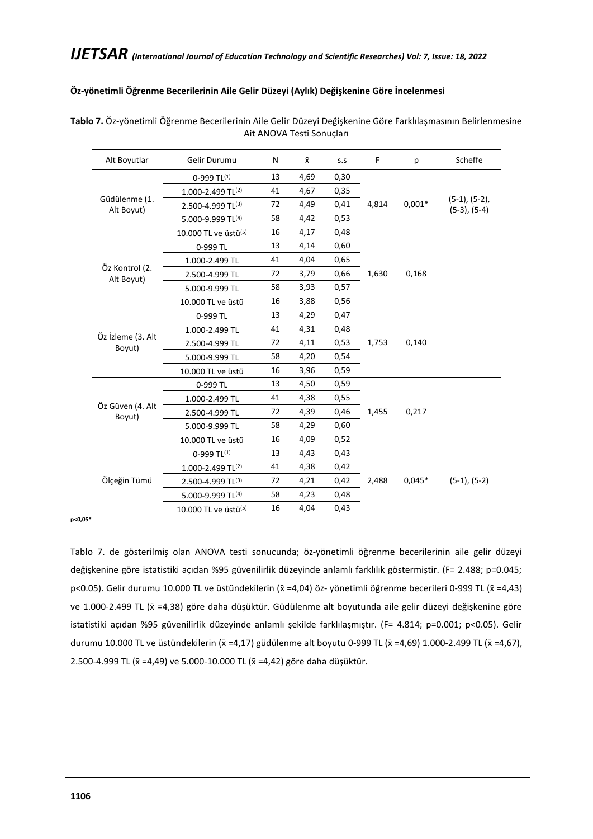## **Öz-yönetimli Öğrenme Becerilerinin Aile Gelir Düzeyi (Aylık) Değişkenine Göre İncelenmesi**

| Alt Boyutlar                 | Gelir Durumu                     | N  | $\bar{\mathsf{x}}$ | S.S  | F     | p        | Scheffe                              |
|------------------------------|----------------------------------|----|--------------------|------|-------|----------|--------------------------------------|
|                              | $0-999$ TL(1)                    | 13 | 4,69               | 0,30 |       |          |                                      |
|                              | 1.000-2.499 TL(2)                | 41 | 4,67               | 0,35 |       |          |                                      |
| Güdülenme (1.<br>Alt Boyut)  | 2.500-4.999 TL(3)                | 72 | 4,49               | 0,41 | 4,814 | $0,001*$ | $(5-1), (5-2),$<br>$(5-3)$ , $(5-4)$ |
|                              | 5.000-9.999 TL(4)                | 58 | 4,42               | 0,53 |       |          |                                      |
|                              | 10.000 TL ve üstü <sup>(5)</sup> | 16 | 4,17               | 0,48 |       |          |                                      |
|                              | 0-999 TL                         | 13 | 4,14               | 0,60 |       |          |                                      |
|                              | 1.000-2.499 TL                   | 41 | 4,04               | 0,65 |       |          |                                      |
| Öz Kontrol (2.<br>Alt Boyut) | 2.500-4.999 TL                   | 72 | 3,79               | 0,66 | 1,630 | 0,168    |                                      |
|                              | 5.000-9.999 TL                   | 58 | 3,93               | 0,57 |       |          |                                      |
|                              | 10.000 TL ve üstü                | 16 | 3,88               | 0,56 |       |          |                                      |
|                              | 0-999 TL                         | 13 | 4,29               | 0,47 |       |          |                                      |
|                              | 1.000-2.499 TL                   | 41 | 4,31               | 0,48 |       |          |                                      |
| Öz İzleme (3. Alt<br>Boyut)  | 2.500-4.999 TL                   | 72 | 4,11               | 0,53 | 1,753 | 0,140    |                                      |
|                              | 5.000-9.999 TL                   | 58 | 4,20               | 0,54 |       |          |                                      |
|                              | 10.000 TL ve üstü                | 16 | 3,96               | 0,59 |       |          |                                      |
|                              | 0-999 TL                         | 13 | 4,50               | 0,59 |       |          |                                      |
|                              | 1.000-2.499 TL                   | 41 | 4,38               | 0,55 |       |          |                                      |
| Öz Güven (4. Alt<br>Boyut)   | 2.500-4.999 TL                   | 72 | 4,39               | 0,46 | 1,455 | 0,217    |                                      |
|                              | 5.000-9.999 TL                   | 58 | 4,29               | 0,60 |       |          |                                      |
|                              | 10.000 TL ve üstü                | 16 | 4,09               | 0,52 |       |          |                                      |
|                              | $0-999$ TL <sup>(1)</sup>        | 13 | 4,43               | 0,43 |       |          |                                      |
|                              | 1.000-2.499 TL $(2)$             | 41 | 4,38               | 0,42 |       |          |                                      |
| Ölçeğin Tümü                 | 2.500-4.999 TL(3)                | 72 | 4,21               | 0,42 | 2,488 | $0,045*$ | $(5-1), (5-2)$                       |
|                              | 5.000-9.999 TL(4)                | 58 | 4,23               | 0,48 |       |          |                                      |
|                              | 10.000 TL ve üstü <sup>(5)</sup> | 16 | 4,04               | 0,43 |       |          |                                      |

**Tablo 7.** Öz-yönetimli Öğrenme Becerilerinin Aile Gelir Düzeyi Değişkenine Göre Farklılaşmasının Belirlenmesine Ait ANOVA Testi Sonuçları

**p<0,05\***

Tablo 7. de gösterilmiş olan ANOVA testi sonucunda; öz-yönetimli öğrenme becerilerinin aile gelir düzeyi değişkenine göre istatistiki açıdan %95 güvenilirlik düzeyinde anlamlı farklılık göstermiştir. (F= 2.488; p=0.045; p<0.05). Gelir durumu 10.000 TL ve üstündekilerin (x̄=4,04) öz- yönetimli öğrenme becerileri 0-999 TL (x̄=4,43) ve 1.000-2.499 TL ( $\bar{x}$  =4,38) göre daha düşüktür. Güdülenme alt boyutunda aile gelir düzeyi değişkenine göre istatistiki açıdan %95 güvenilirlik düzeyinde anlamlı şekilde farklılaşmıştır. (F= 4.814; p=0.001; p<0.05). Gelir durumu 10.000 TL ve üstündekilerin ( $\bar{x} = 4,17$ ) güdülenme alt boyutu 0-999 TL ( $\bar{x} = 4,69$ ) 1.000-2.499 TL ( $\bar{x} = 4,67$ ), 2.500-4.999 TL (x̄=4,49) ve 5.000-10.000 TL (x̄=4,42) göre daha düşüktür.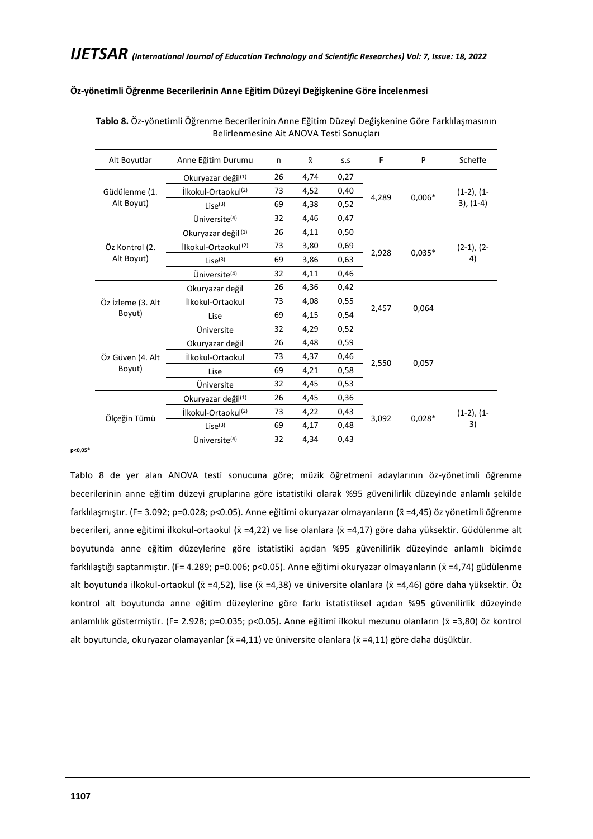**Tablo 8.** Öz-yönetimli Öğrenme Becerilerinin Anne Eğitim Düzeyi Değişkenine Göre Farklılaşmasının Belirlenmesine Ait ANOVA Testi Sonuçları

| Alt Boyutlar      | Anne Eğitim Durumu              | n  | $\bar{x}$ | S.S  | F     | P        | Scheffe         |
|-------------------|---------------------------------|----|-----------|------|-------|----------|-----------------|
|                   | Okuryazar değil <sup>(1)</sup>  | 26 | 4,74      | 0,27 |       |          |                 |
| Güdülenme (1.     | İlkokul-Ortaokul <sup>(2)</sup> | 73 | 4,52      | 0,40 | 4,289 | $0,006*$ | $(1-2)$ , $(1-$ |
| Alt Boyut)        | $Lise^{(3)}$                    | 69 | 4,38      | 0,52 |       |          | $3), (1-4)$     |
|                   | Üniversite <sup>(4)</sup>       | 32 | 4,46      | 0,47 |       |          |                 |
|                   | Okuryazar değil <sup>(1)</sup>  | 26 | 4,11      | 0,50 |       |          |                 |
| Öz Kontrol (2.    | İlkokul-Ortaokul <sup>(2)</sup> | 73 | 3,80      | 0,69 |       | $0,035*$ | $(2-1)$ , $(2-$ |
| Alt Boyut)        | Lise <sup>(3)</sup>             | 69 | 3,86      | 0,63 | 2,928 |          | 4)              |
|                   | Üniversite <sup>(4)</sup>       | 32 | 4,11      | 0,46 |       |          |                 |
|                   | Okuryazar değil                 | 26 | 4,36      | 0,42 |       | 0,064    |                 |
| Öz İzleme (3. Alt | İlkokul-Ortaokul                | 73 | 4,08      | 0,55 | 2,457 |          |                 |
| Boyut)            | Lise                            | 69 | 4,15      | 0,54 |       |          |                 |
|                   | Üniversite                      | 32 | 4,29      | 0,52 |       |          |                 |
|                   | Okuryazar değil                 | 26 | 4,48      | 0,59 |       |          |                 |
| Öz Güven (4. Alt  | İlkokul-Ortaokul                | 73 | 4,37      | 0,46 | 2,550 | 0,057    |                 |
| Boyut)            | Lise                            | 69 | 4,21      | 0,58 |       |          |                 |
|                   | Üniversite                      | 32 | 4,45      | 0,53 |       |          |                 |
|                   | Okuryazar değil <sup>(1)</sup>  | 26 | 4,45      | 0,36 |       |          |                 |
|                   | İlkokul-Ortaokul <sup>(2)</sup> | 73 | 4,22      | 0,43 |       |          | $(1-2)$ , $(1-$ |
| Ölçeğin Tümü      | $Lise^{(3)}$                    | 69 | 4,17      | 0,48 | 3,092 | $0,028*$ | 3)              |
|                   | Üniversite <sup>(4)</sup>       | 32 | 4,34      | 0,43 |       |          |                 |

# **Öz-yönetimli Öğrenme Becerilerinin Anne Eğitim Düzeyi Değişkenine Göre İncelenmesi**

**p<0,05\***

Tablo 8 de yer alan ANOVA testi sonucuna göre; müzik öğretmeni adaylarının öz-yönetimli öğrenme becerilerinin anne eğitim düzeyi gruplarına göre istatistiki olarak %95 güvenilirlik düzeyinde anlamlı şekilde farklılaşmıştır. (F= 3.092; p=0.028; p<0.05). Anne eğitimi okuryazar olmayanların (x̄=4,45) öz yönetimli öğrenme becerileri, anne eğitimi ilkokul-ortaokul (x̄=4,22) ve lise olanlara (x̄=4,17) göre daha yüksektir. Güdülenme alt boyutunda anne eğitim düzeylerine göre istatistiki açıdan %95 güvenilirlik düzeyinde anlamlı biçimde farklılaştığı saptanmıştır. (F= 4.289; p=0.006; p<0.05). Anne eğitimi okuryazar olmayanların (x̄=4,74) güdülenme alt boyutunda ilkokul-ortaokul (x̄=4,52), lise (x̄=4,38) ve üniversite olanlara (x̄=4,46) göre daha yüksektir. Öz kontrol alt boyutunda anne eğitim düzeylerine göre farkı istatistiksel açıdan %95 güvenilirlik düzeyinde anlamlılık göstermiştir. (F= 2.928; p=0.035; p<0.05). Anne eğitimi ilkokul mezunu olanların (x̄=3,80) öz kontrol alt boyutunda, okuryazar olamayanlar ( $\bar{x} = 4,11$ ) ve üniversite olanlara ( $\bar{x} = 4,11$ ) göre daha düşüktür.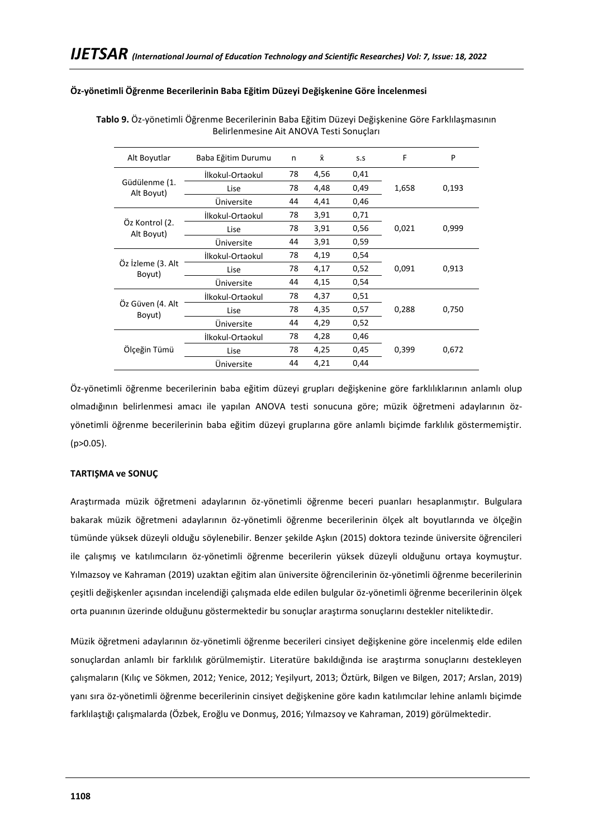### **Öz-yönetimli Öğrenme Becerilerinin Baba Eğitim Düzeyi Değişkenine Göre İncelenmesi**

| Alt Boyutlar                 | Baba Eğitim Durumu | n  | $\bar{x}$ | S.S  | F     | P     |
|------------------------------|--------------------|----|-----------|------|-------|-------|
| Güdülenme (1.<br>Alt Boyut)  | İlkokul-Ortaokul   | 78 | 4,56      | 0,41 |       |       |
|                              | Lise               | 78 | 4,48      | 0,49 | 1,658 | 0,193 |
|                              | Üniversite         | 44 | 4,41      | 0,46 |       |       |
|                              | İlkokul-Ortaokul   | 78 | 3,91      | 0,71 |       |       |
| Öz Kontrol (2.<br>Alt Boyut) | Lise               | 78 | 3,91      | 0,56 | 0,021 | 0,999 |
|                              | Üniversite         | 44 | 3,91      | 0,59 |       |       |
| Öz İzleme (3. Alt<br>Boyut)  | İlkokul-Ortaokul   | 78 | 4,19      | 0,54 |       |       |
|                              | Lise               | 78 | 4,17      | 0,52 | 0,091 | 0,913 |
|                              | Üniversite         | 44 | 4,15      | 0,54 |       |       |
|                              | İlkokul-Ortaokul   | 78 | 4,37      | 0,51 |       |       |
| Öz Güven (4. Alt<br>Boyut)   | Lise               | 78 | 4,35      | 0,57 | 0,288 | 0,750 |
|                              | Üniversite         | 44 | 4,29      | 0,52 |       |       |
|                              | İlkokul-Ortaokul   | 78 | 4,28      | 0,46 |       |       |
| Ölçeğin Tümü                 | Lise               | 78 | 4,25      | 0,45 | 0,399 | 0,672 |
|                              | Üniversite         | 44 | 4,21      | 0,44 |       |       |
|                              |                    |    |           |      |       |       |

**Tablo 9.** Öz-yönetimli Öğrenme Becerilerinin Baba Eğitim Düzeyi Değişkenine Göre Farklılaşmasının Belirlenmesine Ait ANOVA Testi Sonuçları

Öz-yönetimli öğrenme becerilerinin baba eğitim düzeyi grupları değişkenine göre farklılıklarının anlamlı olup olmadığının belirlenmesi amacı ile yapılan ANOVA testi sonucuna göre; müzik öğretmeni adaylarının özyönetimli öğrenme becerilerinin baba eğitim düzeyi gruplarına göre anlamlı biçimde farklılık göstermemiştir. (p>0.05).

### **TARTIŞMA ve SONUÇ**

Araştırmada müzik öğretmeni adaylarının öz-yönetimli öğrenme beceri puanları hesaplanmıştır. Bulgulara bakarak müzik öğretmeni adaylarının öz-yönetimli öğrenme becerilerinin ölçek alt boyutlarında ve ölçeğin tümünde yüksek düzeyli olduğu söylenebilir. Benzer şekilde Aşkın (2015) doktora tezinde üniversite öğrencileri ile çalışmış ve katılımcıların öz-yönetimli öğrenme becerilerin yüksek düzeyli olduğunu ortaya koymuştur. Yılmazsoy ve Kahraman (2019) uzaktan eğitim alan üniversite öğrencilerinin öz-yönetimli öğrenme becerilerinin çeşitli değişkenler açısından incelendiği çalışmada elde edilen bulgular öz-yönetimli öğrenme becerilerinin ölçek orta puanının üzerinde olduğunu göstermektedir bu sonuçlar araştırma sonuçlarını destekler niteliktedir.

Müzik öğretmeni adaylarının öz-yönetimli öğrenme becerileri cinsiyet değişkenine göre incelenmiş elde edilen sonuçlardan anlamlı bir farklılık görülmemiştir. Literatüre bakıldığında ise araştırma sonuçlarını destekleyen çalışmaların (Kılıç ve Sökmen, 2012; Yenice, 2012; Yeşilyurt, 2013; Öztürk, Bilgen ve Bilgen, 2017; Arslan, 2019) yanı sıra öz-yönetimli öğrenme becerilerinin cinsiyet değişkenine göre kadın katılımcılar lehine anlamlı biçimde farklılaştığı çalışmalarda (Özbek, Eroğlu ve Donmuş, 2016; Yılmazsoy ve Kahraman, 2019) görülmektedir.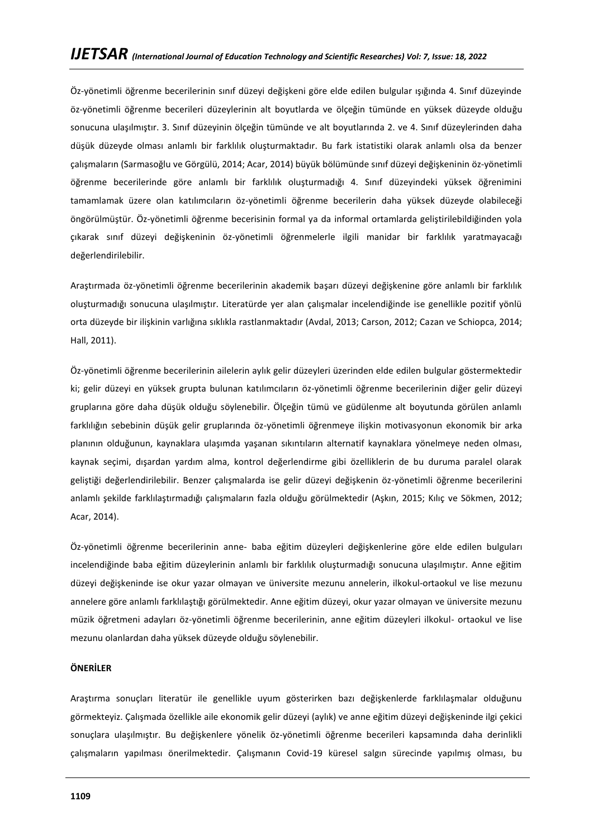Öz-yönetimli öğrenme becerilerinin sınıf düzeyi değişkeni göre elde edilen bulgular ışığında 4. Sınıf düzeyinde öz-yönetimli öğrenme becerileri düzeylerinin alt boyutlarda ve ölçeğin tümünde en yüksek düzeyde olduğu sonucuna ulaşılmıştır. 3. Sınıf düzeyinin ölçeğin tümünde ve alt boyutlarında 2. ve 4. Sınıf düzeylerinden daha düşük düzeyde olması anlamlı bir farklılık oluşturmaktadır. Bu fark istatistiki olarak anlamlı olsa da benzer çalışmaların (Sarmasoğlu ve Görgülü, 2014; Acar, 2014) büyük bölümünde sınıf düzeyi değişkeninin öz-yönetimli öğrenme becerilerinde göre anlamlı bir farklılık oluşturmadığı 4. Sınıf düzeyindeki yüksek öğrenimini tamamlamak üzere olan katılımcıların öz-yönetimli öğrenme becerilerin daha yüksek düzeyde olabileceği öngörülmüştür. Öz-yönetimli öğrenme becerisinin formal ya da informal ortamlarda geliştirilebildiğinden yola çıkarak sınıf düzeyi değişkeninin öz-yönetimli öğrenmelerle ilgili manidar bir farklılık yaratmayacağı değerlendirilebilir.

Araştırmada öz-yönetimli öğrenme becerilerinin akademik başarı düzeyi değişkenine göre anlamlı bir farklılık oluşturmadığı sonucuna ulaşılmıştır. Literatürde yer alan çalışmalar incelendiğinde ise genellikle pozitif yönlü orta düzeyde bir ilişkinin varlığına sıklıkla rastlanmaktadır (Avdal, 2013; Carson, 2012; Cazan ve Schiopca, 2014; Hall, 2011).

Öz-yönetimli öğrenme becerilerinin ailelerin aylık gelir düzeyleri üzerinden elde edilen bulgular göstermektedir ki; gelir düzeyi en yüksek grupta bulunan katılımcıların öz-yönetimli öğrenme becerilerinin diğer gelir düzeyi gruplarına göre daha düşük olduğu söylenebilir. Ölçeğin tümü ve güdülenme alt boyutunda görülen anlamlı farklılığın sebebinin düşük gelir gruplarında öz-yönetimli öğrenmeye ilişkin motivasyonun ekonomik bir arka planının olduğunun, kaynaklara ulaşımda yaşanan sıkıntıların alternatif kaynaklara yönelmeye neden olması, kaynak seçimi, dışardan yardım alma, kontrol değerlendirme gibi özelliklerin de bu duruma paralel olarak geliştiği değerlendirilebilir. Benzer çalışmalarda ise gelir düzeyi değişkenin öz-yönetimli öğrenme becerilerini anlamlı şekilde farklılaştırmadığı çalışmaların fazla olduğu görülmektedir (Aşkın, 2015; Kılıç ve Sökmen, 2012; Acar, 2014).

Öz-yönetimli öğrenme becerilerinin anne- baba eğitim düzeyleri değişkenlerine göre elde edilen bulguları incelendiğinde baba eğitim düzeylerinin anlamlı bir farklılık oluşturmadığı sonucuna ulaşılmıştır. Anne eğitim düzeyi değişkeninde ise okur yazar olmayan ve üniversite mezunu annelerin, ilkokul-ortaokul ve lise mezunu annelere göre anlamlı farklılaştığı görülmektedir. Anne eğitim düzeyi, okur yazar olmayan ve üniversite mezunu müzik öğretmeni adayları öz-yönetimli öğrenme becerilerinin, anne eğitim düzeyleri ilkokul- ortaokul ve lise mezunu olanlardan daha yüksek düzeyde olduğu söylenebilir.

### **ÖNERİLER**

Araştırma sonuçları literatür ile genellikle uyum gösterirken bazı değişkenlerde farklılaşmalar olduğunu görmekteyiz. Çalışmada özellikle aile ekonomik gelir düzeyi (aylık) ve anne eğitim düzeyi değişkeninde ilgi çekici sonuçlara ulaşılmıştır. Bu değişkenlere yönelik öz-yönetimli öğrenme becerileri kapsamında daha derinlikli çalışmaların yapılması önerilmektedir. Çalışmanın Covid-19 küresel salgın sürecinde yapılmış olması, bu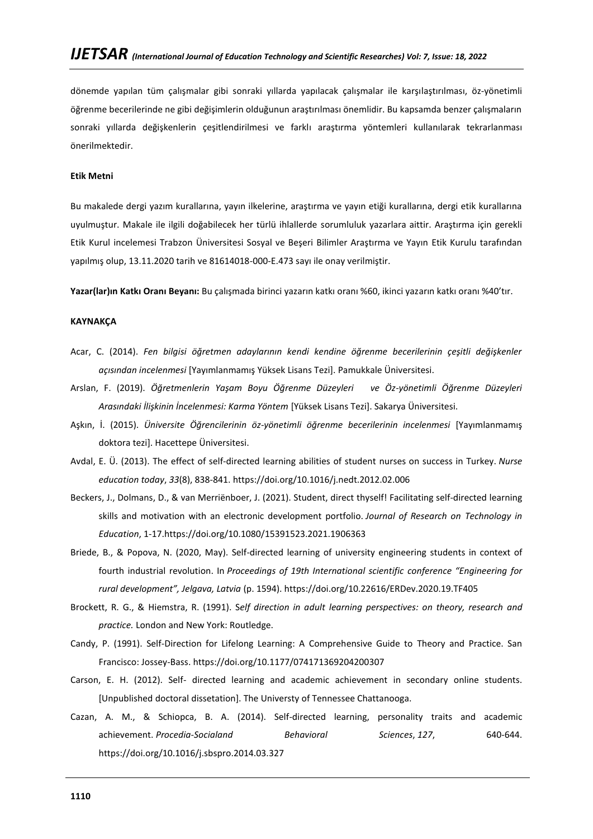dönemde yapılan tüm çalışmalar gibi sonraki yıllarda yapılacak çalışmalar ile karşılaştırılması, öz-yönetimli öğrenme becerilerinde ne gibi değişimlerin olduğunun araştırılması önemlidir. Bu kapsamda benzer çalışmaların sonraki yıllarda değişkenlerin çeşitlendirilmesi ve farklı araştırma yöntemleri kullanılarak tekrarlanması önerilmektedir.

#### **Etik Metni**

Bu makalede dergi yazım kurallarına, yayın ilkelerine, araştırma ve yayın etiği kurallarına, dergi etik kurallarına uyulmuştur. Makale ile ilgili doğabilecek her türlü ihlallerde sorumluluk yazarlara aittir. Araştırma için gerekli Etik Kurul incelemesi Trabzon Üniversitesi Sosyal ve Beşeri Bilimler Araştırma ve Yayın Etik Kurulu tarafından yapılmış olup, 13.11.2020 tarih ve 81614018-000-E.473 sayı ile onay verilmiştir.

**Yazar(lar)ın Katkı Oranı Beyanı:** Bu çalışmada birinci yazarın katkı oranı %60, ikinci yazarın katkı oranı %40'tır.

### **KAYNAKÇA**

- Acar, C. (2014). *Fen bilgisi öğretmen adaylarının kendi kendine öğrenme becerilerinin çeşitli değişkenler açısından incelenmesi* [Yayımlanmamış Yüksek Lisans Tezi]. Pamukkale Üniversitesi.
- Arslan, F. (2019). *Öğretmenlerin Yaşam Boyu Öğrenme Düzeyleri ve Öz-yönetimli Öğrenme Düzeyleri Arasındaki İlişkinin İncelenmesi: Karma Yöntem* [Yüksek Lisans Tezi]. Sakarya Üniversitesi.
- Aşkın, İ. (2015). *Üniversite Öğrencilerinin öz-yönetimli öğrenme becerilerinin incelenmesi* [Yayımlanmamış doktora tezi]. Hacettepe Üniversitesi.
- Avdal, E. Ü. (2013). The effect of self-directed learning abilities of student nurses on success in Turkey. *Nurse education today*, *33*(8), 838-841.<https://doi.org/10.1016/j.nedt.2012.02.006>
- Beckers, J., Dolmans, D., & van Merriënboer, J. (2021). Student, direct thyself! Facilitating self-directed learning skills and motivation with an electronic development portfolio. *Journal of Research on Technology in Education*, 1-17[.https://doi.org/10.1080/15391523.2021.1906363](https://doi.org/10.1080/15391523.2021.1906363)
- Briede, B., & Popova, N. (2020, May). Self-directed learning of university engineering students in context of fourth industrial revolution. In *Proceedings of 19th International scientific conference "Engineering for rural development", Jelgava, Latvia* (p. 1594)[. https://doi.org/10.22616/ERDev.2020.19.TF405](https://doi.org/10.22616/ERDev.2020.19.TF405)
- Brockett, R. G., & Hiemstra, R. (1991). S*elf direction in adult learning perspectives: on theory, research and practice.* London and New York: Routledge.
- Candy, P. (1991). Self-Direction for Lifelong Learning: A Comprehensive Guide to Theory and Practice. San Francisco: Jossey-Bass. [https://doi.org/10.1177/074171369204200307](https://doi.org/10.1177%2F074171369204200307)
- Carson, E. H. (2012). Self- directed learning and academic achievement in secondary online students. [Unpublished doctoral dissetation]. The Universty of Tennessee Chattanooga.
- Cazan, A. M., & Schiopca, B. A. (2014). Self-directed learning, personality traits and academic achievement. *Procedia-Socialand Behavioral Sciences*, *127*, 640-644. <https://doi.org/10.1016/j.sbspro.2014.03.327>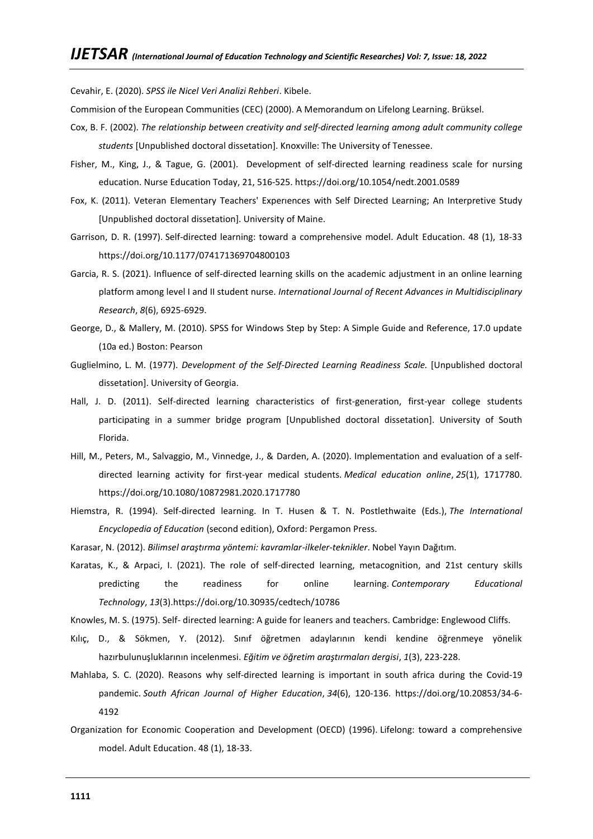Cevahir, E. (2020). *SPSS ile Nicel Veri Analizi Rehberi*. Kibele.

Commision of the European Communities (CEC) (2000). A Memorandum on Lifelong Learning. Brüksel.

- Cox, B. F. (2002). *The relationship between creativity and self-directed learning among adult community college students* [Unpublished doctoral dissetation]. Knoxville: The University of Tenessee.
- Fisher, M., King, J., & Tague, G. (2001). Development of self-directed learning readiness scale for nursing education. Nurse Education Today, 21, 516-525[. https://doi.org/10.1054/nedt.2001.0589](https://doi.org/10.1054/nedt.2001.0589)
- Fox, K. (2011). Veteran Elementary Teachers' Experıences with Self Directed Learning; An Interpretive Study [Unpublished doctoral dissetation]. University of Maine.
- Garrison, D. R. (1997). Self-directed learning: toward a comprehensive model. Adult Education. 48 (1), 18-33 [https://doi.org/10.1177/074171369704800103](https://doi.org/10.1177%2F074171369704800103)
- Garcia, R. S. (2021). Influence of self-directed learning skills on the academic adjustment in an online learning platform among level I and II student nurse. *International Journal of Recent Advances in Multidisciplinary Research*, *8*(6), 6925-6929.
- George, D., & Mallery, M. (2010). SPSS for Windows Step by Step: A Simple Guide and Reference, 17.0 update (10a ed.) Boston: Pearson
- Guglielmino, L. M. (1977). *Development of the Self-Directed Learning Readiness Scale.* [Unpublished doctoral dissetation]. University of Georgia.
- Hall, J. D. (2011). Self-directed learning characteristics of first-generation, first-year college students participating in a summer bridge program [Unpublished doctoral dissetation]. University of South Florida.
- Hill, M., Peters, M., Salvaggio, M., Vinnedge, J., & Darden, A. (2020). Implementation and evaluation of a selfdirected learning activity for first-year medical students. *Medical education online*, *25*(1), 1717780. <https://doi.org/10.1080/10872981.2020.1717780>
- Hiemstra, R. (1994). Self-directed learning. In T. Husen & T. N. Postlethwaite (Eds.), *The International Encyclopedia of Education* (second edition), Oxford: Pergamon Press.
- Karasar, N. (2012). *Bilimsel araştırma yöntemi: kavramlar-ilkeler-teknikler*. Nobel Yayın Dağıtım.
- Karatas, K., & Arpaci, I. (2021). The role of self-directed learning, metacognition, and 21st century skills predicting the readiness for online learning. *Contemporary Educational Technology*, *13*(3)[.https://doi.org/10.30935/cedtech/10786](https://doi.org/10.30935/cedtech/10786)

Knowles, M. S. (1975). Self- directed learning: A guide for leaners and teachers. Cambridge: Englewood Cliffs.

- Kılıç, D., & Sökmen, Y. (2012). Sınıf öğretmen adaylarının kendi kendine öğrenmeye yönelik hazırbulunuşluklarının incelenmesi. *Eğitim ve öğretim araştırmaları dergisi*, *1*(3), 223-228.
- Mahlaba, S. C. (2020). Reasons why self-directed learning is important in south africa during the Covid-19 pandemic. *South African Journal of Higher Education*, *34*(6), 120-136. [https://doi.org/10.20853/34-6-](https://doi.org/10.20853/34-6-4192) [4192](https://doi.org/10.20853/34-6-4192)
- Organization for Economic Cooperation and Development (OECD) (1996). Lifelong: toward a comprehensive model. Adult Education. 48 (1), 18-33.